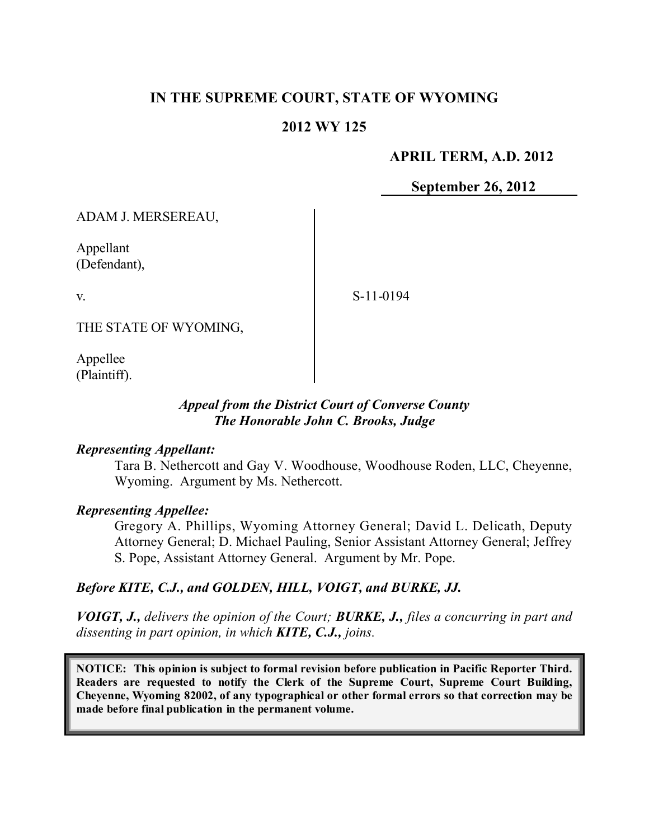# **IN THE SUPREME COURT, STATE OF WYOMING**

#### **2012 WY 125**

#### **APRIL TERM, A.D. 2012**

**September 26, 2012**

ADAM J. MERSEREAU,

Appellant (Defendant),

v.

S-11-0194

THE STATE OF WYOMING,

Appellee (Plaintiff).

#### *Appeal from the District Court of Converse County The Honorable John C. Brooks, Judge*

#### *Representing Appellant:*

Tara B. Nethercott and Gay V. Woodhouse, Woodhouse Roden, LLC, Cheyenne, Wyoming. Argument by Ms. Nethercott.

#### *Representing Appellee:*

Gregory A. Phillips, Wyoming Attorney General; David L. Delicath, Deputy Attorney General; D. Michael Pauling, Senior Assistant Attorney General; Jeffrey S. Pope, Assistant Attorney General. Argument by Mr. Pope.

#### *Before KITE, C.J., and GOLDEN, HILL, VOIGT, and BURKE, JJ.*

*VOIGT, J., delivers the opinion of the Court; BURKE, J., files a concurring in part and dissenting in part opinion, in which KITE, C.J., joins.*

**NOTICE: This opinion is subject to formal revision before publication in Pacific Reporter Third. Readers are requested to notify the Clerk of the Supreme Court, Supreme Court Building, Cheyenne, Wyoming 82002, of any typographical or other formal errors so that correction may be made before final publication in the permanent volume.**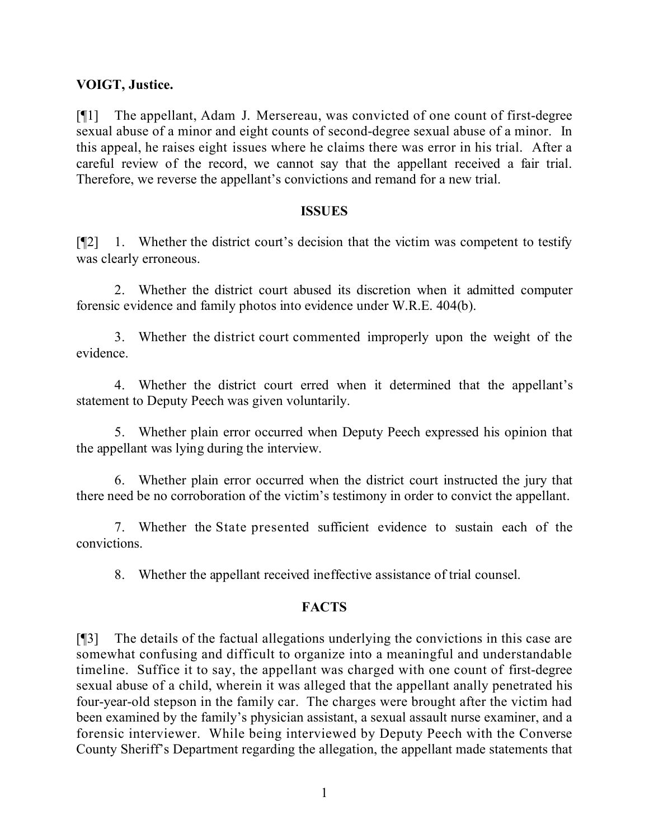#### **VOIGT, Justice.**

[¶1] The appellant, Adam J. Mersereau, was convicted of one count of first-degree sexual abuse of a minor and eight counts of second-degree sexual abuse of a minor. In this appeal, he raises eight issues where he claims there was error in his trial. After a careful review of the record, we cannot say that the appellant received a fair trial. Therefore, we reverse the appellant's convictions and remand for a new trial.

#### **ISSUES**

[¶2] 1. Whether the district court's decision that the victim was competent to testify was clearly erroneous.

2. Whether the district court abused its discretion when it admitted computer forensic evidence and family photos into evidence under W.R.E. 404(b).

3. Whether the district court commented improperly upon the weight of the evidence.

4. Whether the district court erred when it determined that the appellant's statement to Deputy Peech was given voluntarily.

5. Whether plain error occurred when Deputy Peech expressed his opinion that the appellant was lying during the interview.

6. Whether plain error occurred when the district court instructed the jury that there need be no corroboration of the victim's testimony in order to convict the appellant.

7. Whether the State presented sufficient evidence to sustain each of the convictions.

8. Whether the appellant received ineffective assistance of trial counsel.

## **FACTS**

[¶3] The details of the factual allegations underlying the convictions in this case are somewhat confusing and difficult to organize into a meaningful and understandable timeline. Suffice it to say, the appellant was charged with one count of first-degree sexual abuse of a child, wherein it was alleged that the appellant anally penetrated his four-year-old stepson in the family car. The charges were brought after the victim had been examined by the family's physician assistant, a sexual assault nurse examiner, and a forensic interviewer. While being interviewed by Deputy Peech with the Converse County Sheriff's Department regarding the allegation, the appellant made statements that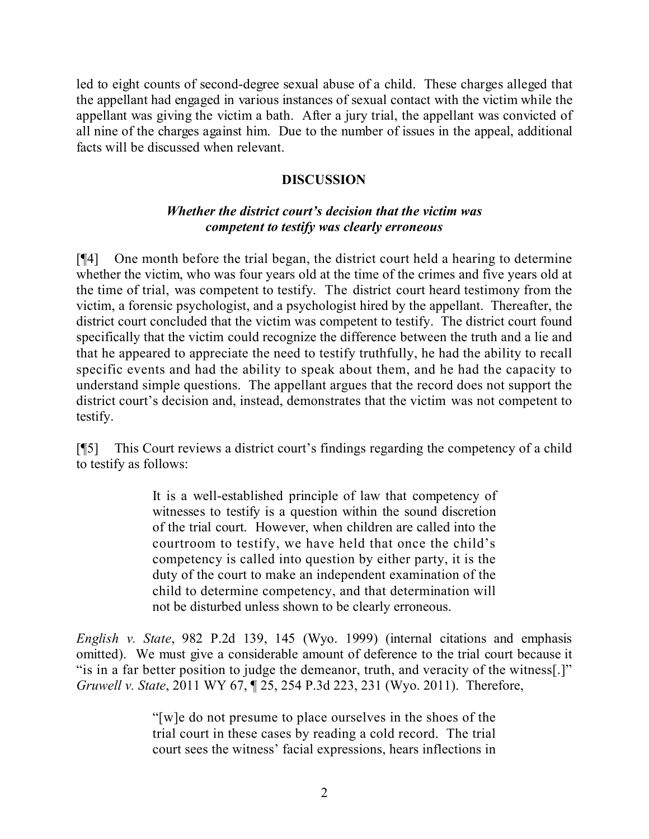led to eight counts of second-degree sexual abuse of a child. These charges alleged that the appellant had engaged in various instances of sexual contact with the victim while the appellant was giving the victim a bath. After a jury trial, the appellant was convicted of all nine of the charges against him. Due to the number of issues in the appeal, additional facts will be discussed when relevant.

## **DISCUSSION**

# *Whether the district court's decision that the victim was competent to testify was clearly erroneous*

[¶4] One month before the trial began, the district court held a hearing to determine whether the victim, who was four years old at the time of the crimes and five years old at the time of trial, was competent to testify. The district court heard testimony from the victim, a forensic psychologist, and a psychologist hired by the appellant. Thereafter, the district court concluded that the victim was competent to testify. The district court found specifically that the victim could recognize the difference between the truth and a lie and that he appeared to appreciate the need to testify truthfully, he had the ability to recall specific events and had the ability to speak about them, and he had the capacity to understand simple questions. The appellant argues that the record does not support the district court's decision and, instead, demonstrates that the victim was not competent to testify.

[¶5] This Court reviews a district court's findings regarding the competency of a child to testify as follows:

> It is a well-established principle of law that competency of witnesses to testify is a question within the sound discretion of the trial court. However, when children are called into the courtroom to testify, we have held that once the child's competency is called into question by either party, it is the duty of the court to make an independent examination of the child to determine competency, and that determination will not be disturbed unless shown to be clearly erroneous.

*English v. State*, 982 P.2d 139, 145 (Wyo. 1999) (internal citations and emphasis omitted). We must give a considerable amount of deference to the trial court because it "is in a far better position to judge the demeanor, truth, and veracity of the witness[.]" *Gruwell v. State*, 2011 WY 67, ¶ 25, 254 P.3d 223, 231 (Wyo. 2011). Therefore,

> "[w]e do not presume to place ourselves in the shoes of the trial court in these cases by reading a cold record. The trial court sees the witness' facial expressions, hears inflections in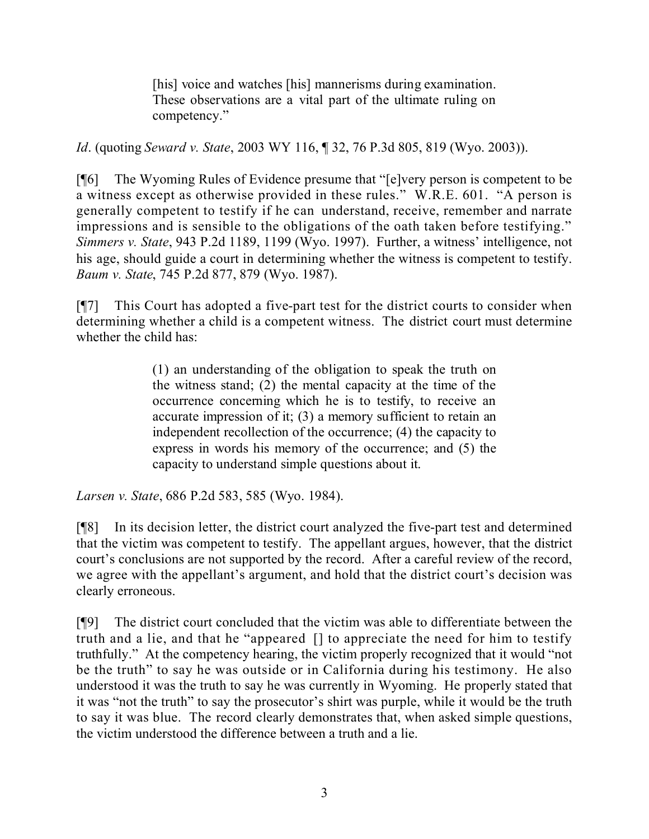[his] voice and watches [his] mannerisms during examination. These observations are a vital part of the ultimate ruling on competency."

*Id*. (quoting *Seward v. State*, 2003 WY 116, ¶ 32, 76 P.3d 805, 819 (Wyo. 2003)).

[¶6] The Wyoming Rules of Evidence presume that "[e]very person is competent to be a witness except as otherwise provided in these rules." W.R.E. 601. "A person is generally competent to testify if he can understand, receive, remember and narrate impressions and is sensible to the obligations of the oath taken before testifying." *Simmers v. State*, 943 P.2d 1189, 1199 (Wyo. 1997). Further, a witness' intelligence, not his age, should guide a court in determining whether the witness is competent to testify. *Baum v. State*, 745 P.2d 877, 879 (Wyo. 1987).

[¶7] This Court has adopted a five-part test for the district courts to consider when determining whether a child is a competent witness. The district court must determine whether the child has:

> (1) an understanding of the obligation to speak the truth on the witness stand; (2) the mental capacity at the time of the occurrence concerning which he is to testify, to receive an accurate impression of it; (3) a memory sufficient to retain an independent recollection of the occurrence; (4) the capacity to express in words his memory of the occurrence; and (5) the capacity to understand simple questions about it.

*Larsen v. State*, 686 P.2d 583, 585 (Wyo. 1984).

[¶8] In its decision letter, the district court analyzed the five-part test and determined that the victim was competent to testify. The appellant argues, however, that the district court's conclusions are not supported by the record. After a careful review of the record, we agree with the appellant's argument, and hold that the district court's decision was clearly erroneous.

[¶9] The district court concluded that the victim was able to differentiate between the truth and a lie, and that he "appeared [] to appreciate the need for him to testify truthfully." At the competency hearing, the victim properly recognized that it would "not be the truth" to say he was outside or in California during his testimony. He also understood it was the truth to say he was currently in Wyoming. He properly stated that it was "not the truth" to say the prosecutor's shirt was purple, while it would be the truth to say it was blue. The record clearly demonstrates that, when asked simple questions, the victim understood the difference between a truth and a lie.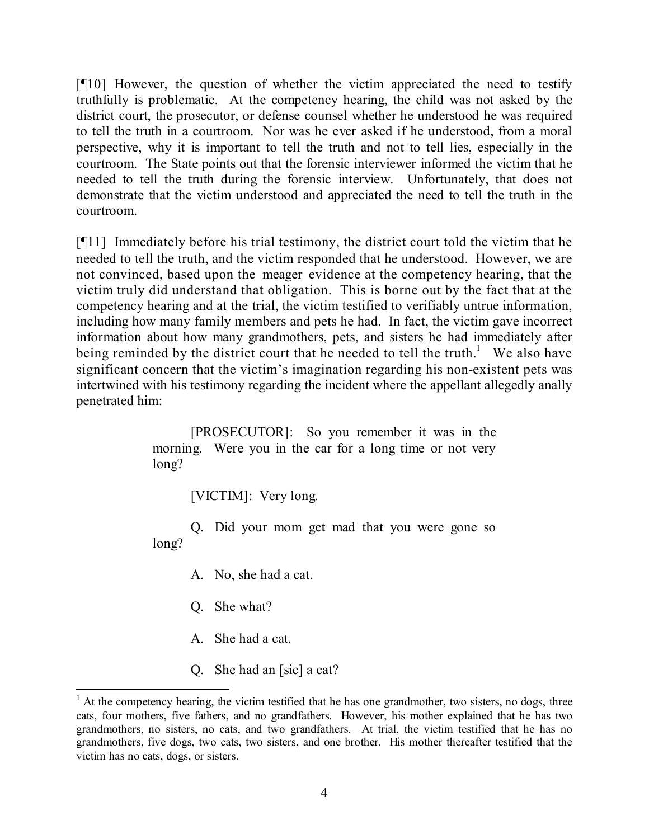[¶10] However, the question of whether the victim appreciated the need to testify truthfully is problematic. At the competency hearing, the child was not asked by the district court, the prosecutor, or defense counsel whether he understood he was required to tell the truth in a courtroom. Nor was he ever asked if he understood, from a moral perspective, why it is important to tell the truth and not to tell lies, especially in the courtroom. The State points out that the forensic interviewer informed the victim that he needed to tell the truth during the forensic interview. Unfortunately, that does not demonstrate that the victim understood and appreciated the need to tell the truth in the courtroom.

[¶11] Immediately before his trial testimony, the district court told the victim that he needed to tell the truth, and the victim responded that he understood. However, we are not convinced, based upon the meager evidence at the competency hearing, that the victim truly did understand that obligation. This is borne out by the fact that at the competency hearing and at the trial, the victim testified to verifiably untrue information, including how many family members and pets he had. In fact, the victim gave incorrect information about how many grandmothers, pets, and sisters he had immediately after being reminded by the district court that he needed to tell the truth.<sup>1</sup> We also have significant concern that the victim's imagination regarding his non-existent pets was intertwined with his testimony regarding the incident where the appellant allegedly anally penetrated him:

> [PROSECUTOR]: So you remember it was in the morning. Were you in the car for a long time or not very long?

> > [VICTIM]: Very long.

Q. Did your mom get mad that you were gone so long?

- A. No, she had a cat.
- Q. She what?

l

- A. She had a cat.
- Q. She had an [sic] a cat?

 $1$  At the competency hearing, the victim testified that he has one grandmother, two sisters, no dogs, three cats, four mothers, five fathers, and no grandfathers. However, his mother explained that he has two grandmothers, no sisters, no cats, and two grandfathers. At trial, the victim testified that he has no grandmothers, five dogs, two cats, two sisters, and one brother. His mother thereafter testified that the victim has no cats, dogs, or sisters.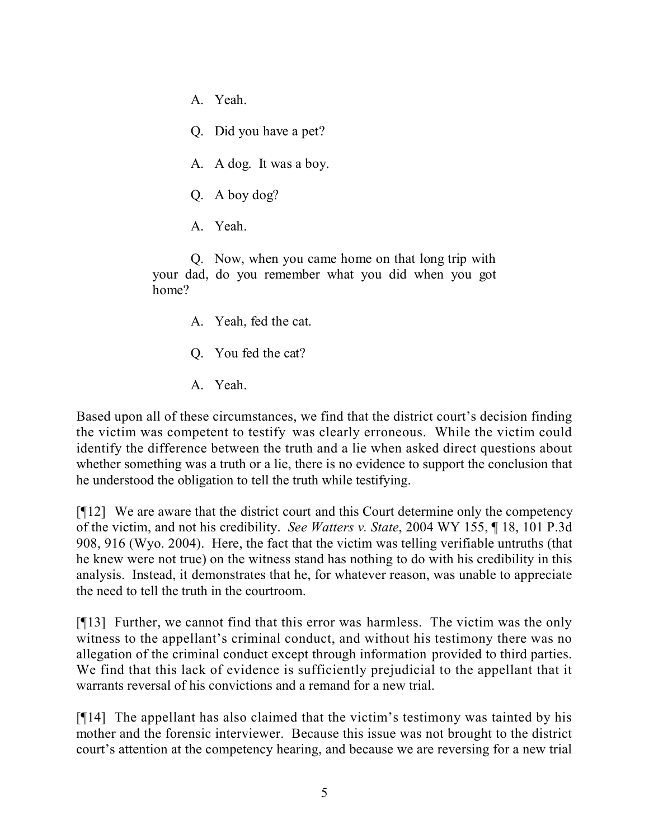- A. Yeah.
- Q. Did you have a pet?
- A. A dog. It was a boy.
- Q. A boy dog?
- A. Yeah.

Q. Now, when you came home on that long trip with your dad, do you remember what you did when you got home?

- A. Yeah, fed the cat.
- Q. You fed the cat?
- A. Yeah.

Based upon all of these circumstances, we find that the district court's decision finding the victim was competent to testify was clearly erroneous. While the victim could identify the difference between the truth and a lie when asked direct questions about whether something was a truth or a lie, there is no evidence to support the conclusion that he understood the obligation to tell the truth while testifying.

[¶12] We are aware that the district court and this Court determine only the competency of the victim, and not his credibility. *See Watters v. State*, 2004 WY 155, ¶ 18, 101 P.3d 908, 916 (Wyo. 2004). Here, the fact that the victim was telling verifiable untruths (that he knew were not true) on the witness stand has nothing to do with his credibility in this analysis. Instead, it demonstrates that he, for whatever reason, was unable to appreciate the need to tell the truth in the courtroom.

[¶13] Further, we cannot find that this error was harmless. The victim was the only witness to the appellant's criminal conduct, and without his testimony there was no allegation of the criminal conduct except through information provided to third parties. We find that this lack of evidence is sufficiently prejudicial to the appellant that it warrants reversal of his convictions and a remand for a new trial.

[¶14] The appellant has also claimed that the victim's testimony was tainted by his mother and the forensic interviewer. Because this issue was not brought to the district court's attention at the competency hearing, and because we are reversing for a new trial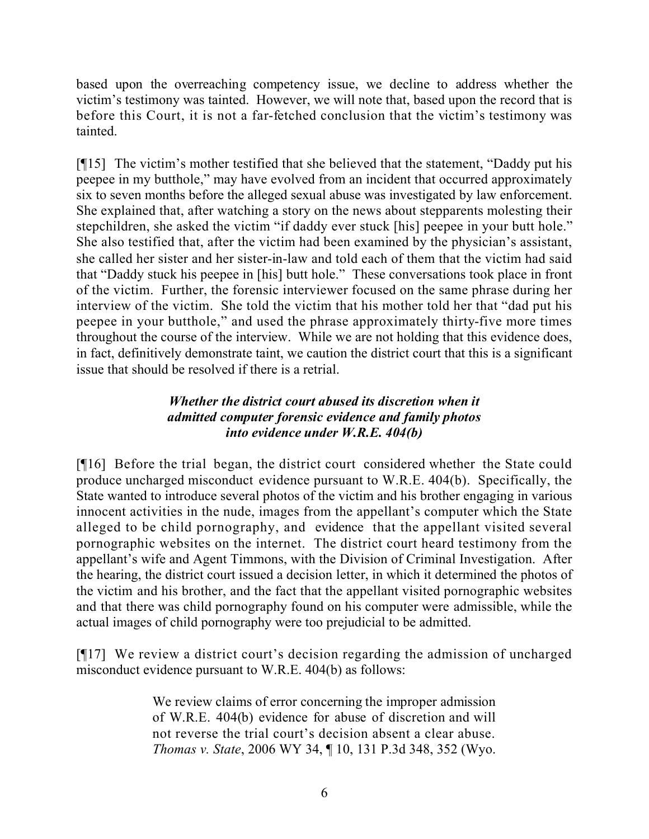based upon the overreaching competency issue, we decline to address whether the victim's testimony was tainted. However, we will note that, based upon the record that is before this Court, it is not a far-fetched conclusion that the victim's testimony was tainted.

[¶15] The victim's mother testified that she believed that the statement, "Daddy put his peepee in my butthole," may have evolved from an incident that occurred approximately six to seven months before the alleged sexual abuse was investigated by law enforcement. She explained that, after watching a story on the news about stepparents molesting their stepchildren, she asked the victim "if daddy ever stuck [his] peepee in your butt hole." She also testified that, after the victim had been examined by the physician's assistant, she called her sister and her sister-in-law and told each of them that the victim had said that "Daddy stuck his peepee in [his] butt hole." These conversations took place in front of the victim. Further, the forensic interviewer focused on the same phrase during her interview of the victim. She told the victim that his mother told her that "dad put his peepee in your butthole," and used the phrase approximately thirty-five more times throughout the course of the interview. While we are not holding that this evidence does, in fact, definitively demonstrate taint, we caution the district court that this is a significant issue that should be resolved if there is a retrial.

## *Whether the district court abused its discretion when it admitted computer forensic evidence and family photos into evidence under W.R.E. 404(b)*

[¶16] Before the trial began, the district court considered whether the State could produce uncharged misconduct evidence pursuant to W.R.E. 404(b). Specifically, the State wanted to introduce several photos of the victim and his brother engaging in various innocent activities in the nude, images from the appellant's computer which the State alleged to be child pornography, and evidence that the appellant visited several pornographic websites on the internet. The district court heard testimony from the appellant's wife and Agent Timmons, with the Division of Criminal Investigation. After the hearing, the district court issued a decision letter, in which it determined the photos of the victim and his brother, and the fact that the appellant visited pornographic websites and that there was child pornography found on his computer were admissible, while the actual images of child pornography were too prejudicial to be admitted.

[¶17] We review a district court's decision regarding the admission of uncharged misconduct evidence pursuant to W.R.E. 404(b) as follows:

> We review claims of error concerning the improper admission of W.R.E. 404(b) evidence for abuse of discretion and will not reverse the trial court's decision absent a clear abuse. *Thomas v. State*, 2006 WY 34, ¶ 10, 131 P.3d 348, 352 (Wyo.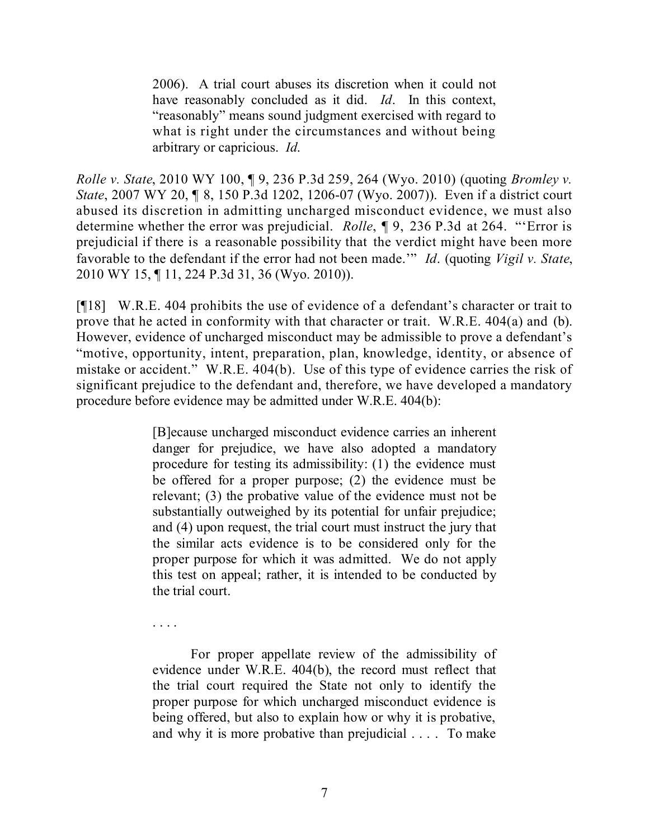2006). A trial court abuses its discretion when it could not have reasonably concluded as it did. *Id*. In this context, "reasonably" means sound judgment exercised with regard to what is right under the circumstances and without being arbitrary or capricious. *Id*.

*Rolle v. State*, 2010 WY 100, ¶ 9, 236 P.3d 259, 264 (Wyo. 2010) (quoting *Bromley v. State*, 2007 WY 20, ¶ 8, 150 P.3d 1202, 1206-07 (Wyo. 2007)). Even if a district court abused its discretion in admitting uncharged misconduct evidence, we must also determine whether the error was prejudicial. *Rolle*, ¶ 9, 236 P.3d at 264. "'Error is prejudicial if there is a reasonable possibility that the verdict might have been more favorable to the defendant if the error had not been made.'" *Id*. (quoting *Vigil v. State*, 2010 WY 15, ¶ 11, 224 P.3d 31, 36 (Wyo. 2010)).

[¶18] W.R.E. 404 prohibits the use of evidence of a defendant's character or trait to prove that he acted in conformity with that character or trait. W.R.E. 404(a) and (b). However, evidence of uncharged misconduct may be admissible to prove a defendant's "motive, opportunity, intent, preparation, plan, knowledge, identity, or absence of mistake or accident." W.R.E. 404(b). Use of this type of evidence carries the risk of significant prejudice to the defendant and, therefore, we have developed a mandatory procedure before evidence may be admitted under W.R.E. 404(b):

> [B]ecause uncharged misconduct evidence carries an inherent danger for prejudice, we have also adopted a mandatory procedure for testing its admissibility: (1) the evidence must be offered for a proper purpose; (2) the evidence must be relevant; (3) the probative value of the evidence must not be substantially outweighed by its potential for unfair prejudice; and (4) upon request, the trial court must instruct the jury that the similar acts evidence is to be considered only for the proper purpose for which it was admitted. We do not apply this test on appeal; rather, it is intended to be conducted by the trial court.

For proper appellate review of the admissibility of evidence under W.R.E. 404(b), the record must reflect that the trial court required the State not only to identify the proper purpose for which uncharged misconduct evidence is being offered, but also to explain how or why it is probative, and why it is more probative than prejudicial . . . . To make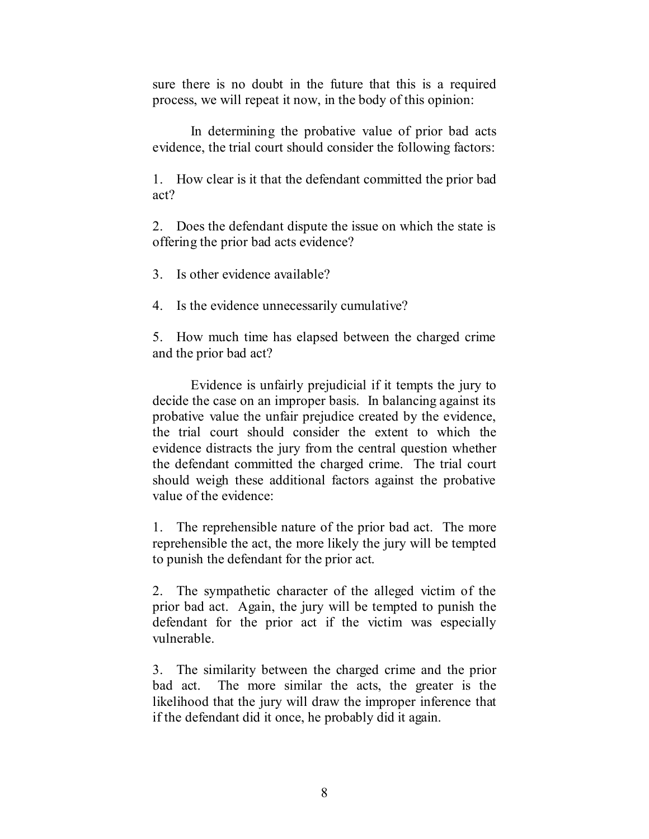sure there is no doubt in the future that this is a required process, we will repeat it now, in the body of this opinion:

In determining the probative value of prior bad acts evidence, the trial court should consider the following factors:

1. How clear is it that the defendant committed the prior bad act?

2. Does the defendant dispute the issue on which the state is offering the prior bad acts evidence?

3. Is other evidence available?

4. Is the evidence unnecessarily cumulative?

5. How much time has elapsed between the charged crime and the prior bad act?

Evidence is unfairly prejudicial if it tempts the jury to decide the case on an improper basis. In balancing against its probative value the unfair prejudice created by the evidence, the trial court should consider the extent to which the evidence distracts the jury from the central question whether the defendant committed the charged crime. The trial court should weigh these additional factors against the probative value of the evidence:

1. The reprehensible nature of the prior bad act. The more reprehensible the act, the more likely the jury will be tempted to punish the defendant for the prior act.

2. The sympathetic character of the alleged victim of the prior bad act. Again, the jury will be tempted to punish the defendant for the prior act if the victim was especially vulnerable.

3. The similarity between the charged crime and the prior bad act. The more similar the acts, the greater is the likelihood that the jury will draw the improper inference that if the defendant did it once, he probably did it again.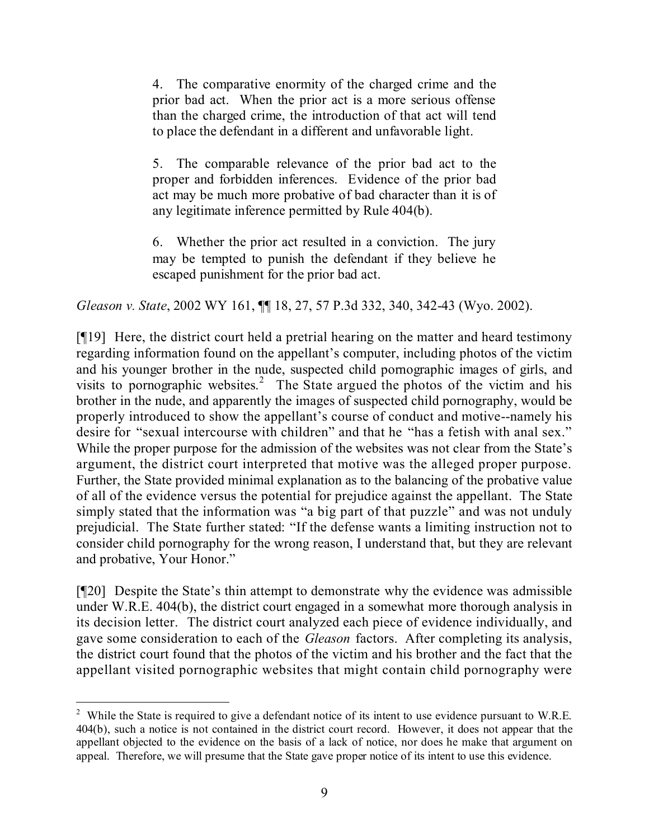4. The comparative enormity of the charged crime and the prior bad act. When the prior act is a more serious offense than the charged crime, the introduction of that act will tend to place the defendant in a different and unfavorable light.

5. The comparable relevance of the prior bad act to the proper and forbidden inferences. Evidence of the prior bad act may be much more probative of bad character than it is of any legitimate inference permitted by Rule 404(b).

6. Whether the prior act resulted in a conviction. The jury may be tempted to punish the defendant if they believe he escaped punishment for the prior bad act.

*Gleason v. State*, 2002 WY 161, ¶¶ 18, 27, 57 P.3d 332, 340, 342-43 (Wyo. 2002).

[¶19] Here, the district court held a pretrial hearing on the matter and heard testimony regarding information found on the appellant's computer, including photos of the victim and his younger brother in the nude, suspected child pornographic images of girls, and visits to pornographic websites. 2 The State argued the photos of the victim and his brother in the nude, and apparently the images of suspected child pornography, would be properly introduced to show the appellant's course of conduct and motive--namely his desire for "sexual intercourse with children" and that he "has a fetish with anal sex." While the proper purpose for the admission of the websites was not clear from the State's argument, the district court interpreted that motive was the alleged proper purpose. Further, the State provided minimal explanation as to the balancing of the probative value of all of the evidence versus the potential for prejudice against the appellant. The State simply stated that the information was "a big part of that puzzle" and was not unduly prejudicial. The State further stated: "If the defense wants a limiting instruction not to consider child pornography for the wrong reason, I understand that, but they are relevant and probative, Your Honor."

[¶20] Despite the State's thin attempt to demonstrate why the evidence was admissible under W.R.E. 404(b), the district court engaged in a somewhat more thorough analysis in its decision letter. The district court analyzed each piece of evidence individually, and gave some consideration to each of the *Gleason* factors. After completing its analysis, the district court found that the photos of the victim and his brother and the fact that the appellant visited pornographic websites that might contain child pornography were

 $\overline{a}$ 

<sup>&</sup>lt;sup>2</sup> While the State is required to give a defendant notice of its intent to use evidence pursuant to W.R.E. 404(b), such a notice is not contained in the district court record. However, it does not appear that the appellant objected to the evidence on the basis of a lack of notice, nor does he make that argument on appeal. Therefore, we will presume that the State gave proper notice of its intent to use this evidence.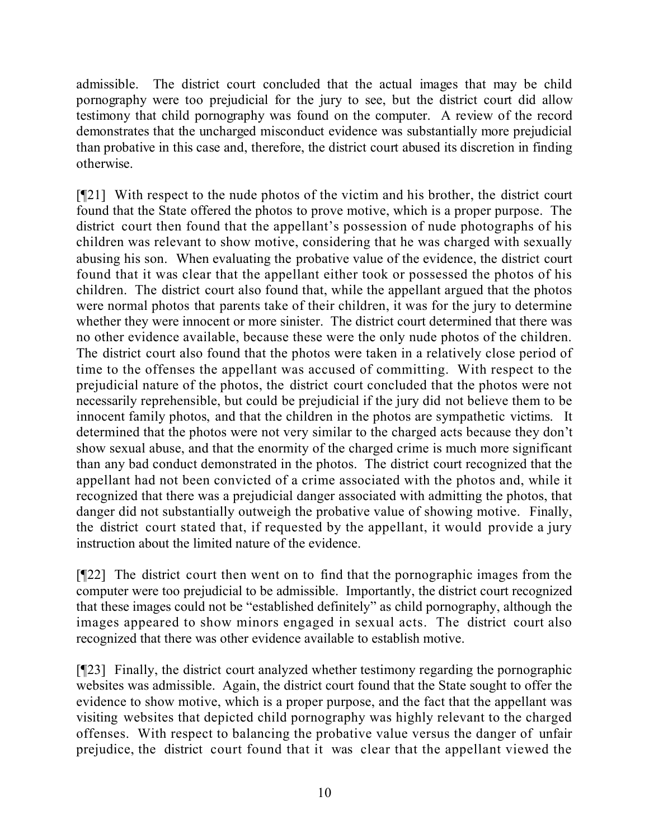admissible. The district court concluded that the actual images that may be child pornography were too prejudicial for the jury to see, but the district court did allow testimony that child pornography was found on the computer. A review of the record demonstrates that the uncharged misconduct evidence was substantially more prejudicial than probative in this case and, therefore, the district court abused its discretion in finding otherwise.

[¶21] With respect to the nude photos of the victim and his brother, the district court found that the State offered the photos to prove motive, which is a proper purpose. The district court then found that the appellant's possession of nude photographs of his children was relevant to show motive, considering that he was charged with sexually abusing his son. When evaluating the probative value of the evidence, the district court found that it was clear that the appellant either took or possessed the photos of his children. The district court also found that, while the appellant argued that the photos were normal photos that parents take of their children, it was for the jury to determine whether they were innocent or more sinister. The district court determined that there was no other evidence available, because these were the only nude photos of the children. The district court also found that the photos were taken in a relatively close period of time to the offenses the appellant was accused of committing. With respect to the prejudicial nature of the photos, the district court concluded that the photos were not necessarily reprehensible, but could be prejudicial if the jury did not believe them to be innocent family photos, and that the children in the photos are sympathetic victims. It determined that the photos were not very similar to the charged acts because they don't show sexual abuse, and that the enormity of the charged crime is much more significant than any bad conduct demonstrated in the photos. The district court recognized that the appellant had not been convicted of a crime associated with the photos and, while it recognized that there was a prejudicial danger associated with admitting the photos, that danger did not substantially outweigh the probative value of showing motive. Finally, the district court stated that, if requested by the appellant, it would provide a jury instruction about the limited nature of the evidence.

[¶22] The district court then went on to find that the pornographic images from the computer were too prejudicial to be admissible. Importantly, the district court recognized that these images could not be "established definitely" as child pornography, although the images appeared to show minors engaged in sexual acts. The district court also recognized that there was other evidence available to establish motive.

[¶23] Finally, the district court analyzed whether testimony regarding the pornographic websites was admissible. Again, the district court found that the State sought to offer the evidence to show motive, which is a proper purpose, and the fact that the appellant was visiting websites that depicted child pornography was highly relevant to the charged offenses. With respect to balancing the probative value versus the danger of unfair prejudice, the district court found that it was clear that the appellant viewed the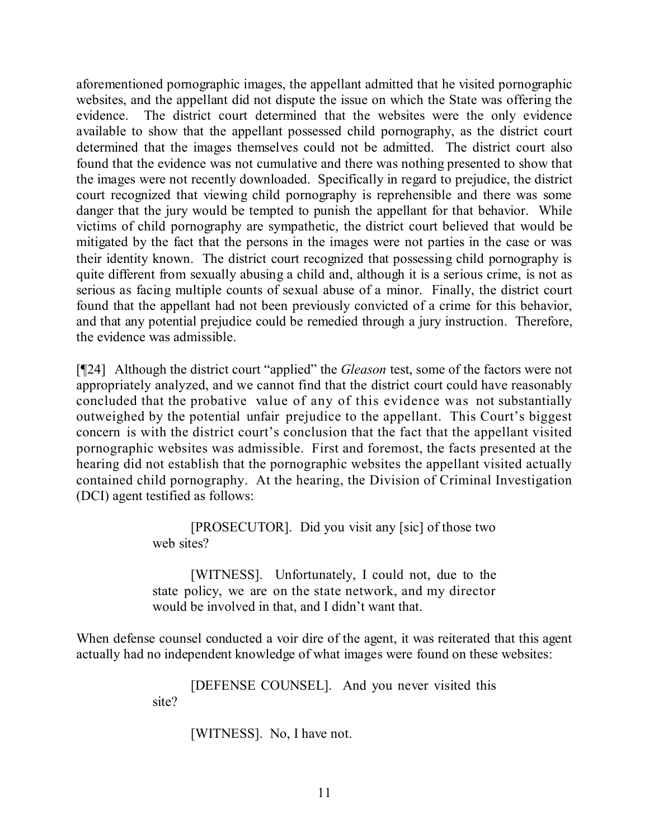aforementioned pornographic images, the appellant admitted that he visited pornographic websites, and the appellant did not dispute the issue on which the State was offering the evidence. The district court determined that the websites were the only evidence available to show that the appellant possessed child pornography, as the district court determined that the images themselves could not be admitted. The district court also found that the evidence was not cumulative and there was nothing presented to show that the images were not recently downloaded. Specifically in regard to prejudice, the district court recognized that viewing child pornography is reprehensible and there was some danger that the jury would be tempted to punish the appellant for that behavior. While victims of child pornography are sympathetic, the district court believed that would be mitigated by the fact that the persons in the images were not parties in the case or was their identity known. The district court recognized that possessing child pornography is quite different from sexually abusing a child and, although it is a serious crime, is not as serious as facing multiple counts of sexual abuse of a minor. Finally, the district court found that the appellant had not been previously convicted of a crime for this behavior, and that any potential prejudice could be remedied through a jury instruction. Therefore, the evidence was admissible.

[¶24] Although the district court "applied" the *Gleason* test, some of the factors were not appropriately analyzed, and we cannot find that the district court could have reasonably concluded that the probative value of any of this evidence was not substantially outweighed by the potential unfair prejudice to the appellant. This Court's biggest concern is with the district court's conclusion that the fact that the appellant visited pornographic websites was admissible. First and foremost, the facts presented at the hearing did not establish that the pornographic websites the appellant visited actually contained child pornography. At the hearing, the Division of Criminal Investigation (DCI) agent testified as follows:

> [PROSECUTOR]. Did you visit any [sic] of those two web sites?

> [WITNESS]. Unfortunately, I could not, due to the state policy, we are on the state network, and my director would be involved in that, and I didn't want that.

When defense counsel conducted a voir dire of the agent, it was reiterated that this agent actually had no independent knowledge of what images were found on these websites:

> [DEFENSE COUNSEL]. And you never visited this site?

> > [WITNESS]. No, I have not.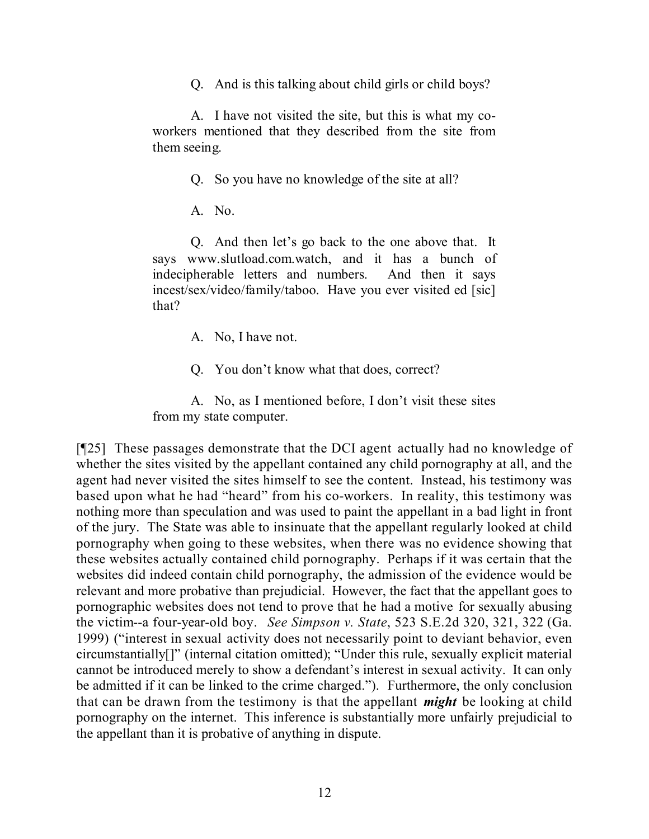Q. And is this talking about child girls or child boys?

A. I have not visited the site, but this is what my coworkers mentioned that they described from the site from them seeing.

Q. So you have no knowledge of the site at all?

A. No.

Q. And then let's go back to the one above that. It says www.slutload.com.watch, and it has a bunch of indecipherable letters and numbers. And then it says incest/sex/video/family/taboo. Have you ever visited ed [sic] that?

A. No, I have not.

Q. You don't know what that does, correct?

A. No, as I mentioned before, I don't visit these sites from my state computer.

[¶25] These passages demonstrate that the DCI agent actually had no knowledge of whether the sites visited by the appellant contained any child pornography at all, and the agent had never visited the sites himself to see the content. Instead, his testimony was based upon what he had "heard" from his co-workers. In reality, this testimony was nothing more than speculation and was used to paint the appellant in a bad light in front of the jury. The State was able to insinuate that the appellant regularly looked at child pornography when going to these websites, when there was no evidence showing that these websites actually contained child pornography. Perhaps if it was certain that the websites did indeed contain child pornography, the admission of the evidence would be relevant and more probative than prejudicial. However, the fact that the appellant goes to pornographic websites does not tend to prove that he had a motive for sexually abusing the victim--a four-year-old boy. *See Simpson v. State*, 523 S.E.2d 320, 321, 322 (Ga. 1999) ("interest in sexual activity does not necessarily point to deviant behavior, even circumstantially[]" (internal citation omitted); "Under this rule, sexually explicit material cannot be introduced merely to show a defendant's interest in sexual activity. It can only be admitted if it can be linked to the crime charged."). Furthermore, the only conclusion that can be drawn from the testimony is that the appellant *might* be looking at child pornography on the internet. This inference is substantially more unfairly prejudicial to the appellant than it is probative of anything in dispute.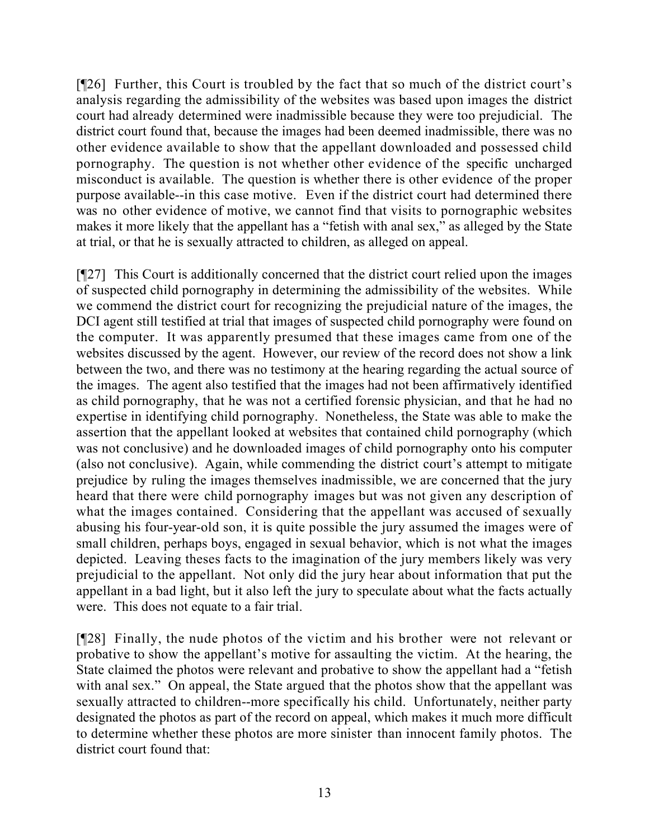[¶26] Further, this Court is troubled by the fact that so much of the district court's analysis regarding the admissibility of the websites was based upon images the district court had already determined were inadmissible because they were too prejudicial. The district court found that, because the images had been deemed inadmissible, there was no other evidence available to show that the appellant downloaded and possessed child pornography. The question is not whether other evidence of the specific uncharged misconduct is available. The question is whether there is other evidence of the proper purpose available--in this case motive. Even if the district court had determined there was no other evidence of motive, we cannot find that visits to pornographic websites makes it more likely that the appellant has a "fetish with anal sex," as alleged by the State at trial, or that he is sexually attracted to children, as alleged on appeal.

[¶27] This Court is additionally concerned that the district court relied upon the images of suspected child pornography in determining the admissibility of the websites. While we commend the district court for recognizing the prejudicial nature of the images, the DCI agent still testified at trial that images of suspected child pornography were found on the computer. It was apparently presumed that these images came from one of the websites discussed by the agent. However, our review of the record does not show a link between the two, and there was no testimony at the hearing regarding the actual source of the images. The agent also testified that the images had not been affirmatively identified as child pornography, that he was not a certified forensic physician, and that he had no expertise in identifying child pornography. Nonetheless, the State was able to make the assertion that the appellant looked at websites that contained child pornography (which was not conclusive) and he downloaded images of child pornography onto his computer (also not conclusive). Again, while commending the district court's attempt to mitigate prejudice by ruling the images themselves inadmissible, we are concerned that the jury heard that there were child pornography images but was not given any description of what the images contained. Considering that the appellant was accused of sexually abusing his four-year-old son, it is quite possible the jury assumed the images were of small children, perhaps boys, engaged in sexual behavior, which is not what the images depicted. Leaving theses facts to the imagination of the jury members likely was very prejudicial to the appellant. Not only did the jury hear about information that put the appellant in a bad light, but it also left the jury to speculate about what the facts actually were. This does not equate to a fair trial.

[¶28] Finally, the nude photos of the victim and his brother were not relevant or probative to show the appellant's motive for assaulting the victim. At the hearing, the State claimed the photos were relevant and probative to show the appellant had a "fetish with anal sex." On appeal, the State argued that the photos show that the appellant was sexually attracted to children--more specifically his child. Unfortunately, neither party designated the photos as part of the record on appeal, which makes it much more difficult to determine whether these photos are more sinister than innocent family photos. The district court found that: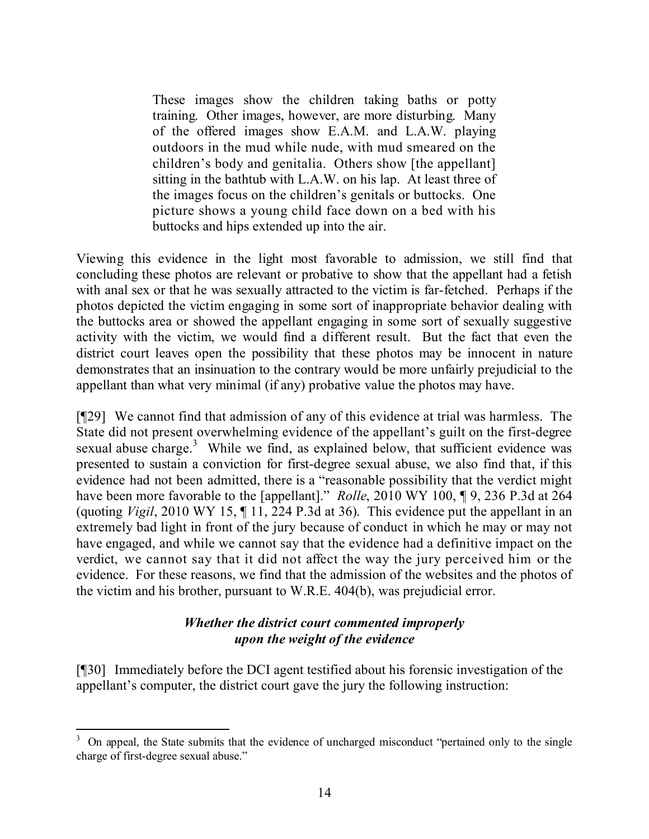These images show the children taking baths or potty training. Other images, however, are more disturbing. Many of the offered images show E.A.M. and L.A.W. playing outdoors in the mud while nude, with mud smeared on the children's body and genitalia. Others show [the appellant] sitting in the bathtub with L.A.W. on his lap. At least three of the images focus on the children's genitals or buttocks. One picture shows a young child face down on a bed with his buttocks and hips extended up into the air.

Viewing this evidence in the light most favorable to admission, we still find that concluding these photos are relevant or probative to show that the appellant had a fetish with anal sex or that he was sexually attracted to the victim is far-fetched. Perhaps if the photos depicted the victim engaging in some sort of inappropriate behavior dealing with the buttocks area or showed the appellant engaging in some sort of sexually suggestive activity with the victim, we would find a different result. But the fact that even the district court leaves open the possibility that these photos may be innocent in nature demonstrates that an insinuation to the contrary would be more unfairly prejudicial to the appellant than what very minimal (if any) probative value the photos may have.

[¶29] We cannot find that admission of any of this evidence at trial was harmless. The State did not present overwhelming evidence of the appellant's guilt on the first-degree sexual abuse charge.<sup>3</sup> While we find, as explained below, that sufficient evidence was presented to sustain a conviction for first-degree sexual abuse, we also find that, if this evidence had not been admitted, there is a "reasonable possibility that the verdict might have been more favorable to the [appellant]." *Rolle*, 2010 WY 100, ¶ 9, 236 P.3d at 264 (quoting *Vigil*, 2010 WY 15, ¶ 11, 224 P.3d at 36). This evidence put the appellant in an extremely bad light in front of the jury because of conduct in which he may or may not have engaged, and while we cannot say that the evidence had a definitive impact on the verdict, we cannot say that it did not affect the way the jury perceived him or the evidence. For these reasons, we find that the admission of the websites and the photos of the victim and his brother, pursuant to W.R.E. 404(b), was prejudicial error.

#### *Whether the district court commented improperly upon the weight of the evidence*

[¶30] Immediately before the DCI agent testified about his forensic investigation of the appellant's computer, the district court gave the jury the following instruction:

l <sup>3</sup> On appeal, the State submits that the evidence of uncharged misconduct "pertained only to the single charge of first-degree sexual abuse."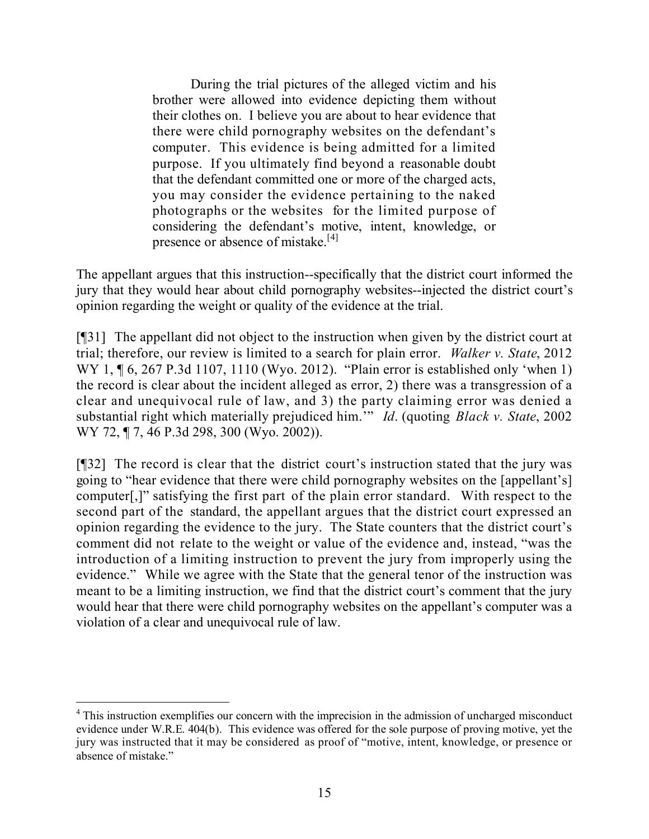During the trial pictures of the alleged victim and his brother were allowed into evidence depicting them without their clothes on. I believe you are about to hear evidence that there were child pornography websites on the defendant's computer. This evidence is being admitted for a limited purpose. If you ultimately find beyond a reasonable doubt that the defendant committed one or more of the charged acts, you may consider the evidence pertaining to the naked photographs or the websites for the limited purpose of considering the defendant's motive, intent, knowledge, or presence or absence of mistake.<sup>[4]</sup>

The appellant argues that this instruction--specifically that the district court informed the jury that they would hear about child pornography websites--injected the district court's opinion regarding the weight or quality of the evidence at the trial.

[¶31] The appellant did not object to the instruction when given by the district court at trial; therefore, our review is limited to a search for plain error. *Walker v. State*, 2012 WY 1, ¶ 6, 267 P.3d 1107, 1110 (Wyo. 2012). "Plain error is established only 'when 1) the record is clear about the incident alleged as error, 2) there was a transgression of a clear and unequivocal rule of law, and 3) the party claiming error was denied a substantial right which materially prejudiced him.'" *Id*. (quoting *Black v. State*, 2002 WY 72, ¶ 7, 46 P.3d 298, 300 (Wyo. 2002)).

[¶32] The record is clear that the district court's instruction stated that the jury was going to "hear evidence that there were child pornography websites on the [appellant's] computer[,]" satisfying the first part of the plain error standard. With respect to the second part of the standard, the appellant argues that the district court expressed an opinion regarding the evidence to the jury. The State counters that the district court's comment did not relate to the weight or value of the evidence and, instead, "was the introduction of a limiting instruction to prevent the jury from improperly using the evidence." While we agree with the State that the general tenor of the instruction was meant to be a limiting instruction, we find that the district court's comment that the jury would hear that there were child pornography websites on the appellant's computer was a violation of a clear and unequivocal rule of law.

 $\overline{a}$ 

<sup>&</sup>lt;sup>4</sup> This instruction exemplifies our concern with the imprecision in the admission of uncharged misconduct evidence under W.R.E. 404(b). This evidence was offered for the sole purpose of proving motive, yet the jury was instructed that it may be considered as proof of "motive, intent, knowledge, or presence or absence of mistake."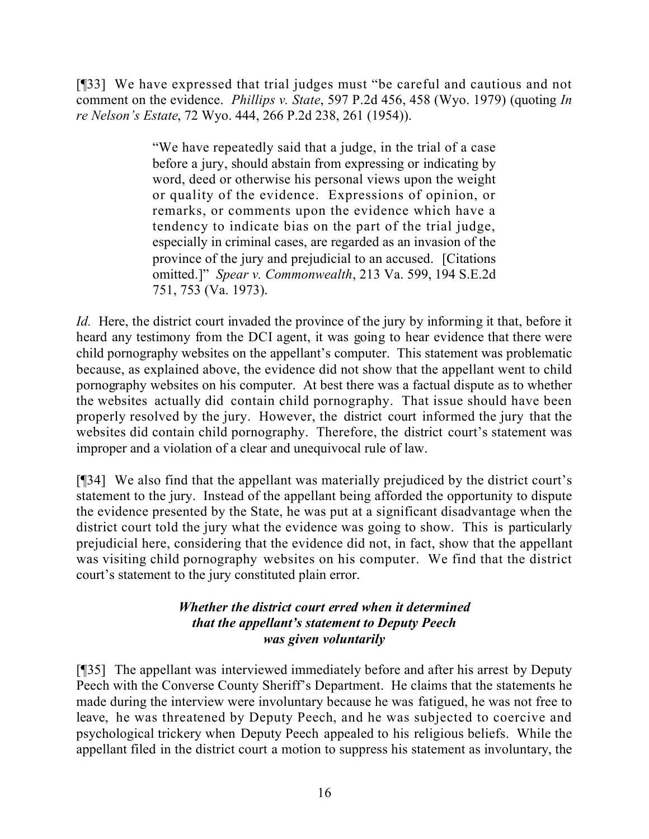[¶33] We have expressed that trial judges must "be careful and cautious and not comment on the evidence. *Phillips v. State*, 597 P.2d 456, 458 (Wyo. 1979) (quoting *In re Nelson's Estate*, 72 Wyo. 444, 266 P.2d 238, 261 (1954)).

> "We have repeatedly said that a judge, in the trial of a case before a jury, should abstain from expressing or indicating by word, deed or otherwise his personal views upon the weight or quality of the evidence. Expressions of opinion, or remarks, or comments upon the evidence which have a tendency to indicate bias on the part of the trial judge, especially in criminal cases, are regarded as an invasion of the province of the jury and prejudicial to an accused. [Citations omitted.]" *Spear v. Commonwealth*, 213 Va. 599, 194 S.E.2d 751, 753 (Va. 1973).

*Id.* Here, the district court invaded the province of the jury by informing it that, before it heard any testimony from the DCI agent, it was going to hear evidence that there were child pornography websites on the appellant's computer. This statement was problematic because, as explained above, the evidence did not show that the appellant went to child pornography websites on his computer. At best there was a factual dispute as to whether the websites actually did contain child pornography. That issue should have been properly resolved by the jury. However, the district court informed the jury that the websites did contain child pornography. Therefore, the district court's statement was improper and a violation of a clear and unequivocal rule of law.

[¶34] We also find that the appellant was materially prejudiced by the district court's statement to the jury. Instead of the appellant being afforded the opportunity to dispute the evidence presented by the State, he was put at a significant disadvantage when the district court told the jury what the evidence was going to show. This is particularly prejudicial here, considering that the evidence did not, in fact, show that the appellant was visiting child pornography websites on his computer. We find that the district court's statement to the jury constituted plain error.

# *Whether the district court erred when it determined that the appellant's statement to Deputy Peech was given voluntarily*

[¶35] The appellant was interviewed immediately before and after his arrest by Deputy Peech with the Converse County Sheriff's Department. He claims that the statements he made during the interview were involuntary because he was fatigued, he was not free to leave, he was threatened by Deputy Peech, and he was subjected to coercive and psychological trickery when Deputy Peech appealed to his religious beliefs. While the appellant filed in the district court a motion to suppress his statement as involuntary, the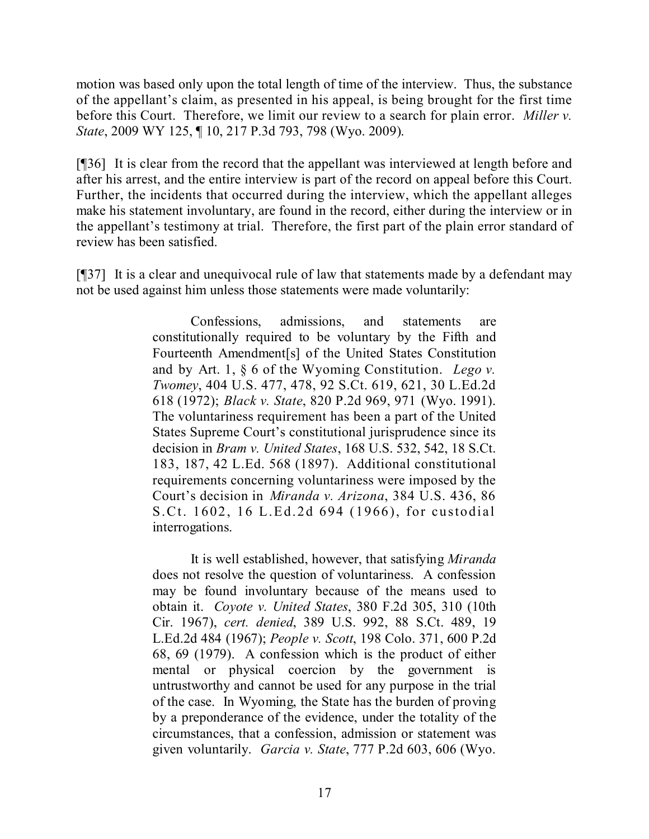motion was based only upon the total length of time of the interview. Thus, the substance of the appellant's claim, as presented in his appeal, is being brought for the first time before this Court. Therefore, we limit our review to a search for plain error. *Miller v. State*, 2009 WY 125, ¶ 10, 217 P.3d 793, 798 (Wyo. 2009).

[¶36] It is clear from the record that the appellant was interviewed at length before and after his arrest, and the entire interview is part of the record on appeal before this Court. Further, the incidents that occurred during the interview, which the appellant alleges make his statement involuntary, are found in the record, either during the interview or in the appellant's testimony at trial. Therefore, the first part of the plain error standard of review has been satisfied.

[¶37] It is a clear and unequivocal rule of law that statements made by a defendant may not be used against him unless those statements were made voluntarily:

> Confessions, admissions, and statements are constitutionally required to be voluntary by the Fifth and Fourteenth Amendment[s] of the United States Constitution and by Art. 1, § 6 of the Wyoming Constitution. *Lego v. Twomey*, 404 U.S. 477, 478, 92 S.Ct. 619, 621, 30 L.Ed.2d 618 (1972); *Black v. State*, 820 P.2d 969, 971 (Wyo. 1991). The voluntariness requirement has been a part of the United States Supreme Court's constitutional jurisprudence since its decision in *Bram v. United States*, 168 U.S. 532, 542, 18 S.Ct. 183, 187, 42 L.Ed. 568 (1897). Additional constitutional requirements concerning voluntariness were imposed by the Court's decision in *Miranda v. Arizona*, 384 U.S. 436, 86 S.Ct. 1602, 16 L.Ed.2d 694 (1966), for custodial interrogations.

> It is well established, however, that satisfying *Miranda* does not resolve the question of voluntariness. A confession may be found involuntary because of the means used to obtain it. *Coyote v. United States*, 380 F.2d 305, 310 (10th Cir. 1967), *cert. denied*, 389 U.S. 992, 88 S.Ct. 489, 19 L.Ed.2d 484 (1967); *People v. Scott*, 198 Colo. 371, 600 P.2d 68, 69 (1979). A confession which is the product of either mental or physical coercion by the government is untrustworthy and cannot be used for any purpose in the trial of the case. In Wyoming, the State has the burden of proving by a preponderance of the evidence, under the totality of the circumstances, that a confession, admission or statement was given voluntarily. *Garcia v. State*, 777 P.2d 603, 606 (Wyo.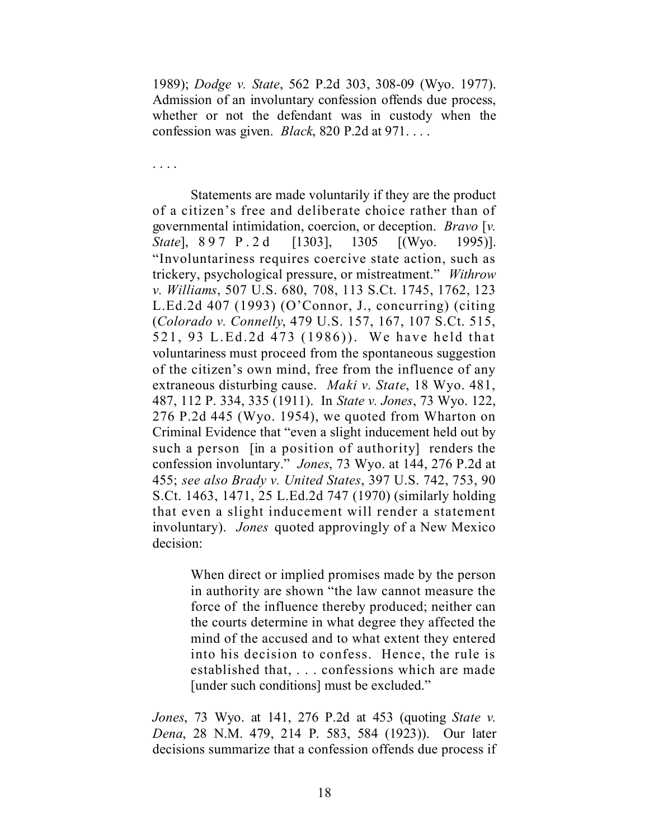1989); *Dodge v. State*, 562 P.2d 303, 308-09 (Wyo. 1977). Admission of an involuntary confession offends due process, whether or not the defendant was in custody when the confession was given. *Black*, 820 P.2d at 971. . . .

. . . .

Statements are made voluntarily if they are the product of a citizen's free and deliberate choice rather than of governmental intimidation, coercion, or deception. *Bravo* [*v. State*], 897 P.2d [1303], 1305 [(Wyo. 1995)]. "Involuntariness requires coercive state action, such as trickery, psychological pressure, or mistreatment." *Withrow v. Williams*, 507 U.S. 680, 708, 113 S.Ct. 1745, 1762, 123 L.Ed.2d 407 (1993) (O'Connor, J., concurring) (citing (*Colorado v. Connelly*, 479 U.S. 157, 167, 107 S.Ct. 515, 521, 93 L.Ed.2d 473 (1986)). We have held that voluntariness must proceed from the spontaneous suggestion of the citizen's own mind, free from the influence of any extraneous disturbing cause. *Maki v. State*, 18 Wyo. 481, 487, 112 P. 334, 335 (1911). In *State v. Jones*, 73 Wyo. 122, 276 P.2d 445 (Wyo. 1954), we quoted from Wharton on Criminal Evidence that "even a slight inducement held out by such a person [in a position of authority] renders the confession involuntary." *Jones*, 73 Wyo. at 144, 276 P.2d at 455; *see also Brady v. United States*, 397 U.S. 742, 753, 90 S.Ct. 1463, 1471, 25 L.Ed.2d 747 (1970) (similarly holding that even a slight inducement will render a statement involuntary). *Jones* quoted approvingly of a New Mexico decision:

> When direct or implied promises made by the person in authority are shown "the law cannot measure the force of the influence thereby produced; neither can the courts determine in what degree they affected the mind of the accused and to what extent they entered into his decision to confess. Hence, the rule is established that, . . . confessions which are made [under such conditions] must be excluded."

*Jones*, 73 Wyo. at 141, 276 P.2d at 453 (quoting *State v. Dena*, 28 N.M. 479, 214 P. 583, 584 (1923)). Our later decisions summarize that a confession offends due process if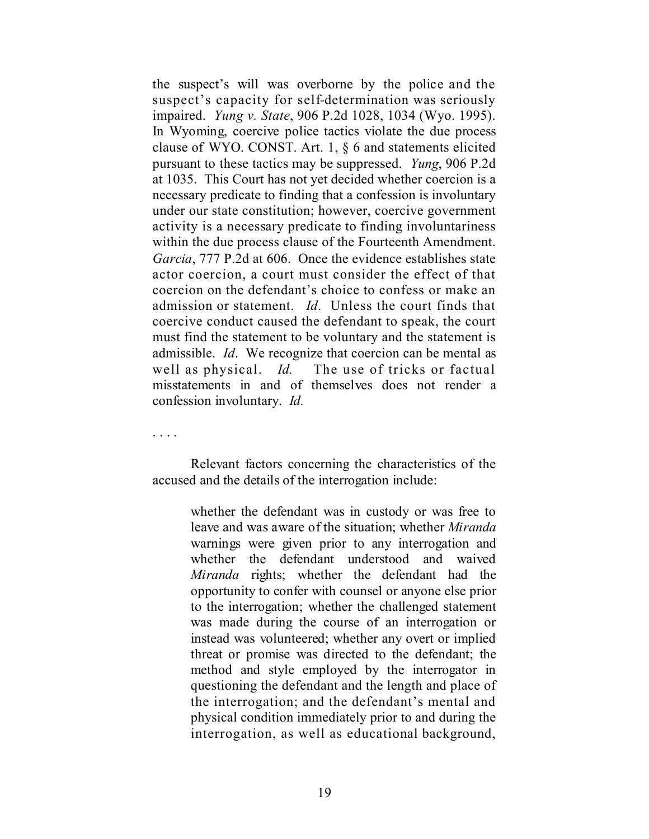the suspect's will was overborne by the police and the suspect's capacity for self-determination was seriously impaired. *Yung v. State*, 906 P.2d 1028, 1034 (Wyo. 1995). In Wyoming, coercive police tactics violate the due process clause of WYO. CONST. Art. 1, § 6 and statements elicited pursuant to these tactics may be suppressed. *Yung*, 906 P.2d at 1035. This Court has not yet decided whether coercion is a necessary predicate to finding that a confession is involuntary under our state constitution; however, coercive government activity is a necessary predicate to finding involuntariness within the due process clause of the Fourteenth Amendment. *Garcia*, 777 P.2d at 606. Once the evidence establishes state actor coercion, a court must consider the effect of that coercion on the defendant's choice to confess or make an admission or statement. *Id*. Unless the court finds that coercive conduct caused the defendant to speak, the court must find the statement to be voluntary and the statement is admissible. *Id*. We recognize that coercion can be mental as well as physical. *Id.* The use of tricks or factual misstatements in and of themselves does not render a confession involuntary. *Id.*

. . . .

Relevant factors concerning the characteristics of the accused and the details of the interrogation include:

> whether the defendant was in custody or was free to leave and was aware of the situation; whether *Miranda* warnings were given prior to any interrogation and whether the defendant understood and waived *Miranda* rights; whether the defendant had the opportunity to confer with counsel or anyone else prior to the interrogation; whether the challenged statement was made during the course of an interrogation or instead was volunteered; whether any overt or implied threat or promise was directed to the defendant; the method and style employed by the interrogator in questioning the defendant and the length and place of the interrogation; and the defendant's mental and physical condition immediately prior to and during the interrogation, as well as educational background,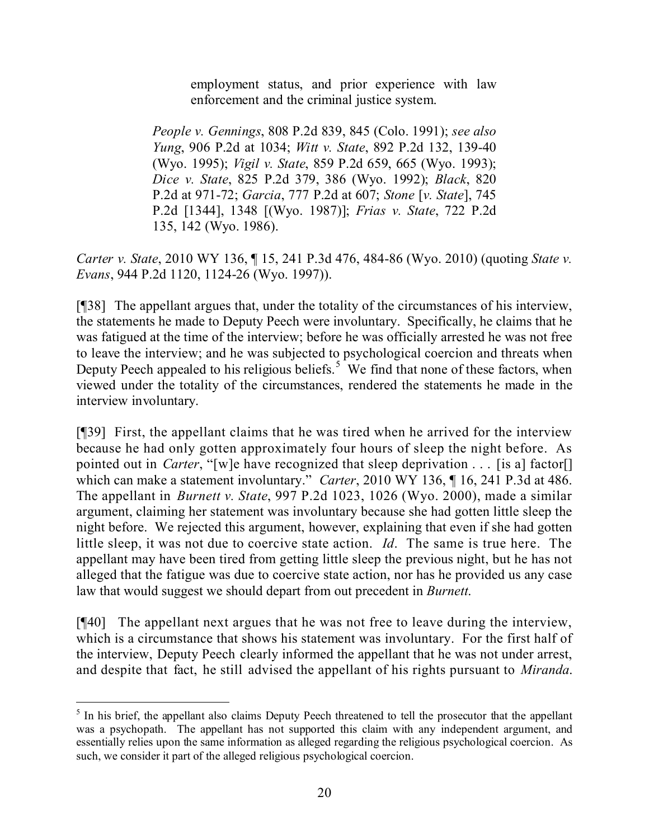employment status, and prior experience with law enforcement and the criminal justice system.

*People v. Gennings*, 808 P.2d 839, 845 (Colo. 1991); *see also Yung*, 906 P.2d at 1034; *Witt v. State*, 892 P.2d 132, 139-40 (Wyo. 1995); *Vigil v. State*, 859 P.2d 659, 665 (Wyo. 1993); *Dice v. State*, 825 P.2d 379, 386 (Wyo. 1992); *Black*, 820 P.2d at 971-72; *Garcia*, 777 P.2d at 607; *Stone* [*v. State*], 745 P.2d [1344], 1348 [(Wyo. 1987)]; *Frias v. State*, 722 P.2d 135, 142 (Wyo. 1986).

*Carter v. State*, 2010 WY 136, ¶ 15, 241 P.3d 476, 484-86 (Wyo. 2010) (quoting *State v. Evans*, 944 P.2d 1120, 1124-26 (Wyo. 1997)).

[¶38] The appellant argues that, under the totality of the circumstances of his interview, the statements he made to Deputy Peech were involuntary. Specifically, he claims that he was fatigued at the time of the interview; before he was officially arrested he was not free to leave the interview; and he was subjected to psychological coercion and threats when Deputy Peech appealed to his religious beliefs.<sup>5</sup> We find that none of these factors, when viewed under the totality of the circumstances, rendered the statements he made in the interview involuntary.

[¶39] First, the appellant claims that he was tired when he arrived for the interview because he had only gotten approximately four hours of sleep the night before. As pointed out in *Carter*, "[w]e have recognized that sleep deprivation . . . [is a] factor[] which can make a statement involuntary." *Carter*, 2010 WY 136, ¶ 16, 241 P.3d at 486. The appellant in *Burnett v. State*, 997 P.2d 1023, 1026 (Wyo. 2000), made a similar argument, claiming her statement was involuntary because she had gotten little sleep the night before. We rejected this argument, however, explaining that even if she had gotten little sleep, it was not due to coercive state action. *Id*. The same is true here. The appellant may have been tired from getting little sleep the previous night, but he has not alleged that the fatigue was due to coercive state action, nor has he provided us any case law that would suggest we should depart from out precedent in *Burnett*.

[¶40] The appellant next argues that he was not free to leave during the interview, which is a circumstance that shows his statement was involuntary. For the first half of the interview, Deputy Peech clearly informed the appellant that he was not under arrest, and despite that fact, he still advised the appellant of his rights pursuant to *Miranda*.

 $\overline{a}$ 

<sup>&</sup>lt;sup>5</sup> In his brief, the appellant also claims Deputy Peech threatened to tell the prosecutor that the appellant was a psychopath. The appellant has not supported this claim with any independent argument, and essentially relies upon the same information as alleged regarding the religious psychological coercion. As such, we consider it part of the alleged religious psychological coercion.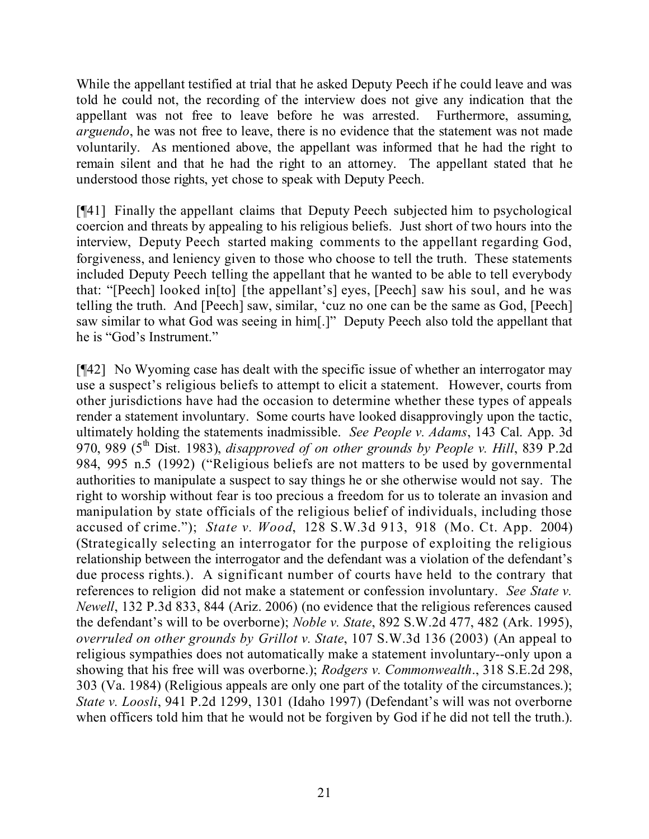While the appellant testified at trial that he asked Deputy Peech if he could leave and was told he could not, the recording of the interview does not give any indication that the appellant was not free to leave before he was arrested. Furthermore, assuming, *arguendo*, he was not free to leave, there is no evidence that the statement was not made voluntarily. As mentioned above, the appellant was informed that he had the right to remain silent and that he had the right to an attorney. The appellant stated that he understood those rights, yet chose to speak with Deputy Peech.

[¶41] Finally the appellant claims that Deputy Peech subjected him to psychological coercion and threats by appealing to his religious beliefs. Just short of two hours into the interview, Deputy Peech started making comments to the appellant regarding God, forgiveness, and leniency given to those who choose to tell the truth. These statements included Deputy Peech telling the appellant that he wanted to be able to tell everybody that: "[Peech] looked in[to] [the appellant's] eyes, [Peech] saw his soul, and he was telling the truth. And [Peech] saw, similar, 'cuz no one can be the same as God, [Peech] saw similar to what God was seeing in him[.]" Deputy Peech also told the appellant that he is "God's Instrument."

[¶42] No Wyoming case has dealt with the specific issue of whether an interrogator may use a suspect's religious beliefs to attempt to elicit a statement. However, courts from other jurisdictions have had the occasion to determine whether these types of appeals render a statement involuntary. Some courts have looked disapprovingly upon the tactic, ultimately holding the statements inadmissible. *See People v. Adams*, 143 Cal. App. 3d 970, 989 (5 th Dist. 1983), *disapproved of on other grounds by People v. Hill*, 839 P.2d 984, 995 n.5 (1992) ("Religious beliefs are not matters to be used by governmental authorities to manipulate a suspect to say things he or she otherwise would not say. The right to worship without fear is too precious a freedom for us to tolerate an invasion and manipulation by state officials of the religious belief of individuals, including those accused of crime."); *State v. Wood*, 128 S.W.3d 913, 918 (Mo. Ct. App. 2004) (Strategically selecting an interrogator for the purpose of exploiting the religious relationship between the interrogator and the defendant was a violation of the defendant's due process rights.). A significant number of courts have held to the contrary that references to religion did not make a statement or confession involuntary. *See State v. Newell*, 132 P.3d 833, 844 (Ariz. 2006) (no evidence that the religious references caused the defendant's will to be overborne); *Noble v. State*, 892 S.W.2d 477, 482 (Ark. 1995), *overruled on other grounds by Grillot v. State*, 107 S.W.3d 136 (2003) (An appeal to religious sympathies does not automatically make a statement involuntary--only upon a showing that his free will was overborne.); *Rodgers v. Commonwealth*., 318 S.E.2d 298, 303 (Va. 1984) (Religious appeals are only one part of the totality of the circumstances.); *State v. Loosli*, 941 P.2d 1299, 1301 (Idaho 1997) (Defendant's will was not overborne when officers told him that he would not be forgiven by God if he did not tell the truth.).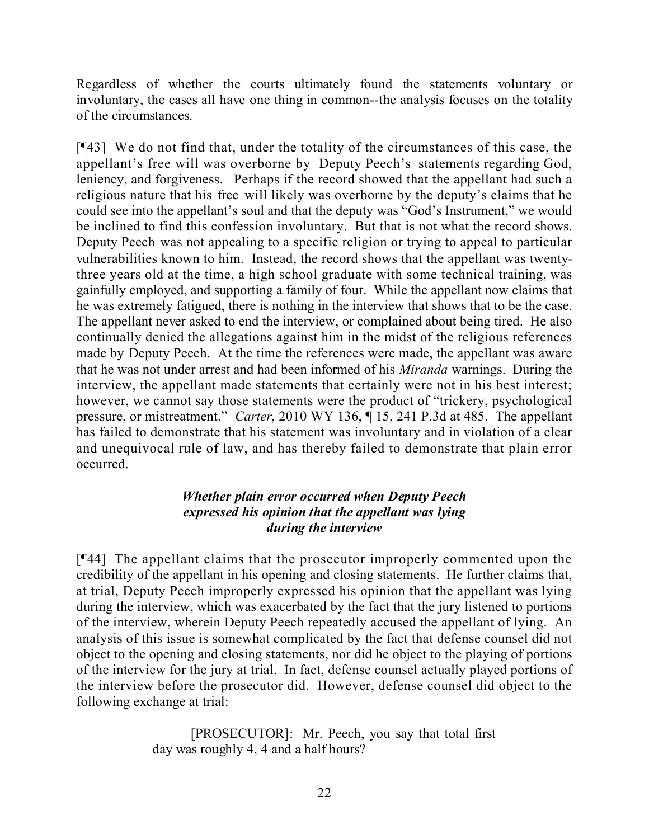Regardless of whether the courts ultimately found the statements voluntary or involuntary, the cases all have one thing in common--the analysis focuses on the totality of the circumstances.

[¶43] We do not find that, under the totality of the circumstances of this case, the appellant's free will was overborne by Deputy Peech's statements regarding God, leniency, and forgiveness. Perhaps if the record showed that the appellant had such a religious nature that his free will likely was overborne by the deputy's claims that he could see into the appellant's soul and that the deputy was "God's Instrument," we would be inclined to find this confession involuntary. But that is not what the record shows. Deputy Peech was not appealing to a specific religion or trying to appeal to particular vulnerabilities known to him. Instead, the record shows that the appellant was twentythree years old at the time, a high school graduate with some technical training, was gainfully employed, and supporting a family of four. While the appellant now claims that he was extremely fatigued, there is nothing in the interview that shows that to be the case. The appellant never asked to end the interview, or complained about being tired. He also continually denied the allegations against him in the midst of the religious references made by Deputy Peech. At the time the references were made, the appellant was aware that he was not under arrest and had been informed of his *Miranda* warnings. During the interview, the appellant made statements that certainly were not in his best interest; however, we cannot say those statements were the product of "trickery, psychological pressure, or mistreatment." *Carter*, 2010 WY 136, ¶ 15, 241 P.3d at 485. The appellant has failed to demonstrate that his statement was involuntary and in violation of a clear and unequivocal rule of law, and has thereby failed to demonstrate that plain error occurred.

# *Whether plain error occurred when Deputy Peech expressed his opinion that the appellant was lying during the interview*

[¶44] The appellant claims that the prosecutor improperly commented upon the credibility of the appellant in his opening and closing statements. He further claims that, at trial, Deputy Peech improperly expressed his opinion that the appellant was lying during the interview, which was exacerbated by the fact that the jury listened to portions of the interview, wherein Deputy Peech repeatedly accused the appellant of lying. An analysis of this issue is somewhat complicated by the fact that defense counsel did not object to the opening and closing statements, nor did he object to the playing of portions of the interview for the jury at trial. In fact, defense counsel actually played portions of the interview before the prosecutor did. However, defense counsel did object to the following exchange at trial:

> [PROSECUTOR]: Mr. Peech, you say that total first day was roughly 4, 4 and a half hours?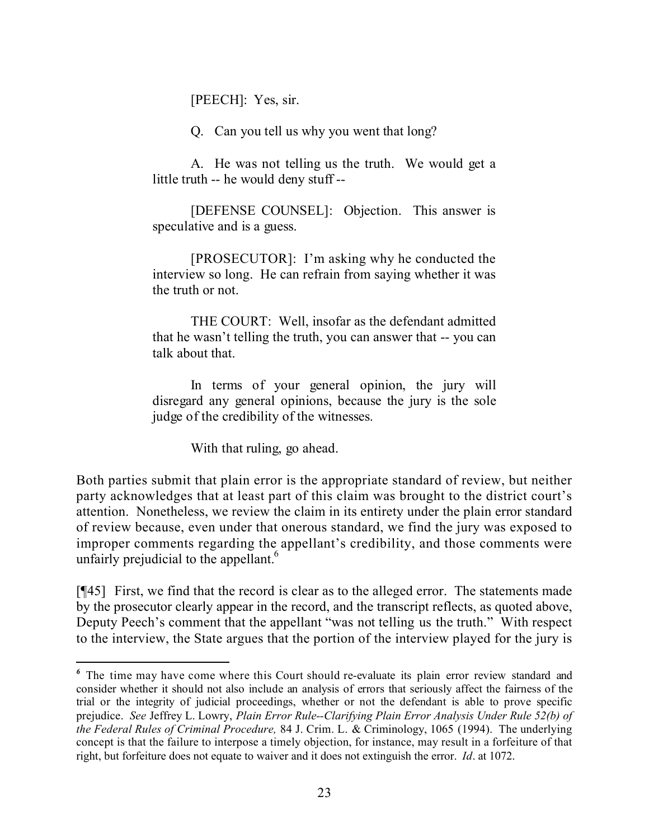[PEECH]: Yes, sir.

Q. Can you tell us why you went that long?

A. He was not telling us the truth. We would get a little truth -- he would deny stuff --

[DEFENSE COUNSEL]: Objection. This answer is speculative and is a guess.

[PROSECUTOR]: I'm asking why he conducted the interview so long. He can refrain from saying whether it was the truth or not.

THE COURT: Well, insofar as the defendant admitted that he wasn't telling the truth, you can answer that -- you can talk about that.

In terms of your general opinion, the jury will disregard any general opinions, because the jury is the sole judge of the credibility of the witnesses.

With that ruling, go ahead.

l

Both parties submit that plain error is the appropriate standard of review, but neither party acknowledges that at least part of this claim was brought to the district court's attention. Nonetheless, we review the claim in its entirety under the plain error standard of review because, even under that onerous standard, we find the jury was exposed to improper comments regarding the appellant's credibility, and those comments were unfairly prejudicial to the appellant.<sup>6</sup>

[¶45] First, we find that the record is clear as to the alleged error. The statements made by the prosecutor clearly appear in the record, and the transcript reflects, as quoted above, Deputy Peech's comment that the appellant "was not telling us the truth." With respect to the interview, the State argues that the portion of the interview played for the jury is

*<sup>6</sup>* The time may have come where this Court should re-evaluate its plain error review standard and consider whether it should not also include an analysis of errors that seriously affect the fairness of the trial or the integrity of judicial proceedings, whether or not the defendant is able to prove specific prejudice. *See* Jeffrey L. Lowry, *Plain Error Rule--Clarifying Plain Error Analysis Under Rule 52(b) of the Federal Rules of Criminal Procedure,* 84 J. Crim. L. & Criminology, 1065 (1994). The underlying concept is that the failure to interpose a timely objection, for instance, may result in a forfeiture of that right, but forfeiture does not equate to waiver and it does not extinguish the error. *Id*. at 1072.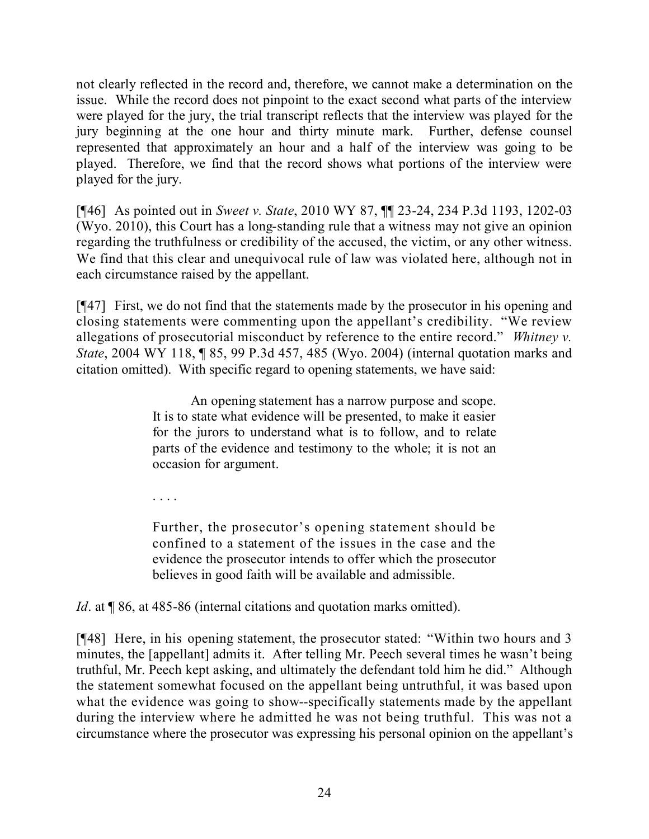not clearly reflected in the record and, therefore, we cannot make a determination on the issue. While the record does not pinpoint to the exact second what parts of the interview were played for the jury, the trial transcript reflects that the interview was played for the jury beginning at the one hour and thirty minute mark. Further, defense counsel represented that approximately an hour and a half of the interview was going to be played. Therefore, we find that the record shows what portions of the interview were played for the jury.

[¶46] As pointed out in *Sweet v. State*, 2010 WY 87, ¶¶ 23-24, 234 P.3d 1193, 1202-03 (Wyo. 2010), this Court has a long-standing rule that a witness may not give an opinion regarding the truthfulness or credibility of the accused, the victim, or any other witness. We find that this clear and unequivocal rule of law was violated here, although not in each circumstance raised by the appellant.

[¶47] First, we do not find that the statements made by the prosecutor in his opening and closing statements were commenting upon the appellant's credibility. "We review allegations of prosecutorial misconduct by reference to the entire record." *Whitney v. State*, 2004 WY 118, ¶ 85, 99 P.3d 457, 485 (Wyo. 2004) (internal quotation marks and citation omitted). With specific regard to opening statements, we have said:

> An opening statement has a narrow purpose and scope. It is to state what evidence will be presented, to make it easier for the jurors to understand what is to follow, and to relate parts of the evidence and testimony to the whole; it is not an occasion for argument.

. . . .

Further, the prosecutor's opening statement should be confined to a statement of the issues in the case and the evidence the prosecutor intends to offer which the prosecutor believes in good faith will be available and admissible.

*Id*. at **[86, at 485-86 (internal citations and quotation marks omitted).** 

[¶48] Here, in his opening statement, the prosecutor stated: "Within two hours and 3 minutes, the [appellant] admits it. After telling Mr. Peech several times he wasn't being truthful, Mr. Peech kept asking, and ultimately the defendant told him he did." Although the statement somewhat focused on the appellant being untruthful, it was based upon what the evidence was going to show--specifically statements made by the appellant during the interview where he admitted he was not being truthful. This was not a circumstance where the prosecutor was expressing his personal opinion on the appellant's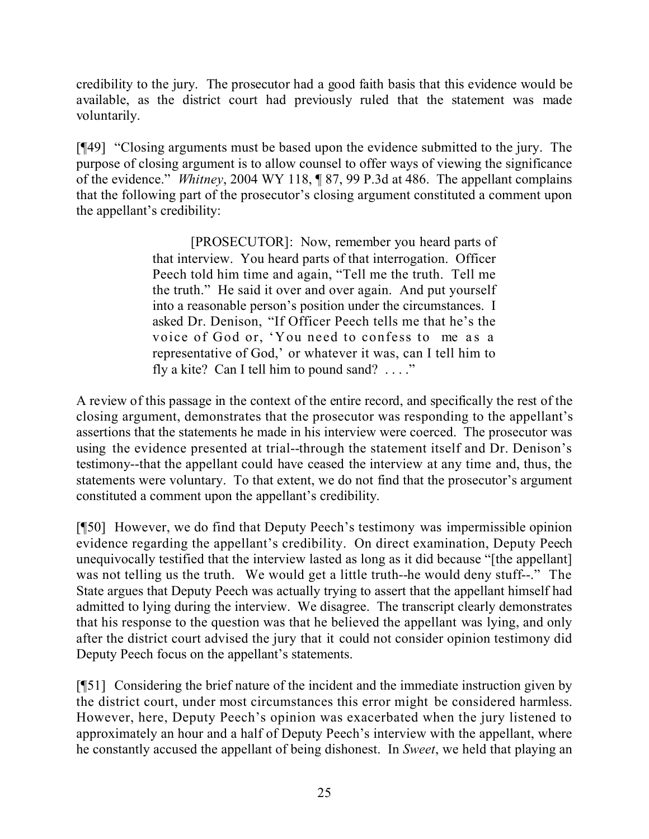credibility to the jury. The prosecutor had a good faith basis that this evidence would be available, as the district court had previously ruled that the statement was made voluntarily.

[¶49] "Closing arguments must be based upon the evidence submitted to the jury. The purpose of closing argument is to allow counsel to offer ways of viewing the significance of the evidence." *Whitney*, 2004 WY 118, ¶ 87, 99 P.3d at 486. The appellant complains that the following part of the prosecutor's closing argument constituted a comment upon the appellant's credibility:

> [PROSECUTOR]: Now, remember you heard parts of that interview. You heard parts of that interrogation. Officer Peech told him time and again, "Tell me the truth. Tell me the truth." He said it over and over again. And put yourself into a reasonable person's position under the circumstances. I asked Dr. Denison, "If Officer Peech tells me that he's the voice of God or, 'You need to confess to me as a representative of God,' or whatever it was, can I tell him to fly a kite? Can I tell him to pound sand?  $\ldots$ ."

A review of this passage in the context of the entire record, and specifically the rest of the closing argument, demonstrates that the prosecutor was responding to the appellant's assertions that the statements he made in his interview were coerced. The prosecutor was using the evidence presented at trial--through the statement itself and Dr. Denison's testimony--that the appellant could have ceased the interview at any time and, thus, the statements were voluntary. To that extent, we do not find that the prosecutor's argument constituted a comment upon the appellant's credibility.

[¶50] However, we do find that Deputy Peech's testimony was impermissible opinion evidence regarding the appellant's credibility. On direct examination, Deputy Peech unequivocally testified that the interview lasted as long as it did because "[the appellant] was not telling us the truth. We would get a little truth--he would deny stuff--." The State argues that Deputy Peech was actually trying to assert that the appellant himself had admitted to lying during the interview. We disagree. The transcript clearly demonstrates that his response to the question was that he believed the appellant was lying, and only after the district court advised the jury that it could not consider opinion testimony did Deputy Peech focus on the appellant's statements.

[¶51] Considering the brief nature of the incident and the immediate instruction given by the district court, under most circumstances this error might be considered harmless. However, here, Deputy Peech's opinion was exacerbated when the jury listened to approximately an hour and a half of Deputy Peech's interview with the appellant, where he constantly accused the appellant of being dishonest. In *Sweet*, we held that playing an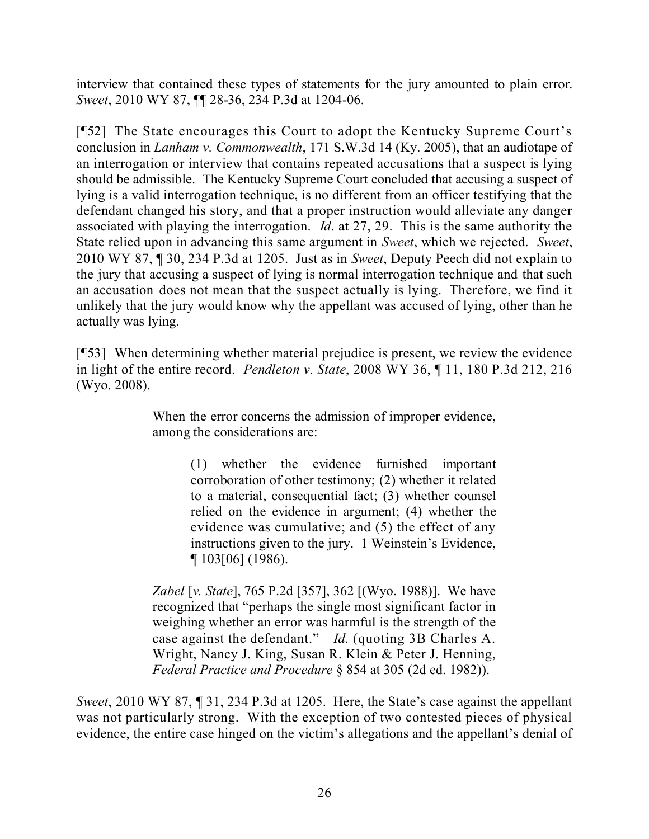interview that contained these types of statements for the jury amounted to plain error. *Sweet*, 2010 WY 87, ¶¶ 28-36, 234 P.3d at 1204-06.

[¶52] The State encourages this Court to adopt the Kentucky Supreme Court's conclusion in *Lanham v. Commonwealth*, 171 S.W.3d 14 (Ky. 2005), that an audiotape of an interrogation or interview that contains repeated accusations that a suspect is lying should be admissible. The Kentucky Supreme Court concluded that accusing a suspect of lying is a valid interrogation technique, is no different from an officer testifying that the defendant changed his story, and that a proper instruction would alleviate any danger associated with playing the interrogation. *Id*. at 27, 29. This is the same authority the State relied upon in advancing this same argument in *Sweet*, which we rejected. *Sweet*, 2010 WY 87, ¶ 30, 234 P.3d at 1205. Just as in *Sweet*, Deputy Peech did not explain to the jury that accusing a suspect of lying is normal interrogation technique and that such an accusation does not mean that the suspect actually is lying. Therefore, we find it unlikely that the jury would know why the appellant was accused of lying, other than he actually was lying.

[¶53] When determining whether material prejudice is present, we review the evidence in light of the entire record. *Pendleton v. State*, 2008 WY 36, ¶ 11, 180 P.3d 212, 216 (Wyo. 2008).

> When the error concerns the admission of improper evidence, among the considerations are:

> > (1) whether the evidence furnished important corroboration of other testimony; (2) whether it related to a material, consequential fact; (3) whether counsel relied on the evidence in argument; (4) whether the evidence was cumulative; and (5) the effect of any instructions given to the jury. 1 Weinstein's Evidence, ¶ 103[06] (1986).

*Zabel* [*v. State*], 765 P.2d [357], 362 [(Wyo. 1988)]. We have recognized that "perhaps the single most significant factor in weighing whether an error was harmful is the strength of the case against the defendant." *Id*. (quoting 3B Charles A. Wright, Nancy J. King, Susan R. Klein & Peter J. Henning, *Federal Practice and Procedure* § 854 at 305 (2d ed. 1982)).

*Sweet*, 2010 WY 87, ¶ 31, 234 P.3d at 1205. Here, the State's case against the appellant was not particularly strong. With the exception of two contested pieces of physical evidence, the entire case hinged on the victim's allegations and the appellant's denial of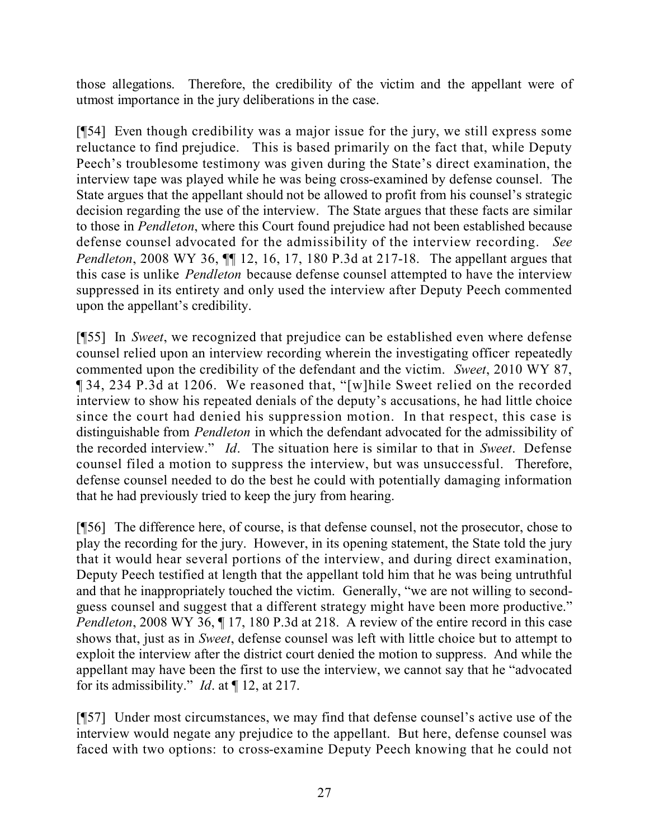those allegations. Therefore, the credibility of the victim and the appellant were of utmost importance in the jury deliberations in the case.

[¶54] Even though credibility was a major issue for the jury, we still express some reluctance to find prejudice. This is based primarily on the fact that, while Deputy Peech's troublesome testimony was given during the State's direct examination, the interview tape was played while he was being cross-examined by defense counsel. The State argues that the appellant should not be allowed to profit from his counsel's strategic decision regarding the use of the interview. The State argues that these facts are similar to those in *Pendleton*, where this Court found prejudice had not been established because defense counsel advocated for the admissibility of the interview recording. *See Pendleton*, 2008 WY 36,  $\P\P$  12, 16, 17, 180 P.3d at 217-18. The appellant argues that this case is unlike *Pendleton* because defense counsel attempted to have the interview suppressed in its entirety and only used the interview after Deputy Peech commented upon the appellant's credibility.

[¶55] In *Sweet*, we recognized that prejudice can be established even where defense counsel relied upon an interview recording wherein the investigating officer repeatedly commented upon the credibility of the defendant and the victim. *Sweet*, 2010 WY 87, ¶ 34, 234 P.3d at 1206. We reasoned that, "[w]hile Sweet relied on the recorded interview to show his repeated denials of the deputy's accusations, he had little choice since the court had denied his suppression motion. In that respect, this case is distinguishable from *Pendleton* in which the defendant advocated for the admissibility of the recorded interview." *Id*. The situation here is similar to that in *Sweet*. Defense counsel filed a motion to suppress the interview, but was unsuccessful. Therefore, defense counsel needed to do the best he could with potentially damaging information that he had previously tried to keep the jury from hearing.

[¶56] The difference here, of course, is that defense counsel, not the prosecutor, chose to play the recording for the jury. However, in its opening statement, the State told the jury that it would hear several portions of the interview, and during direct examination, Deputy Peech testified at length that the appellant told him that he was being untruthful and that he inappropriately touched the victim. Generally, "we are not willing to secondguess counsel and suggest that a different strategy might have been more productive." *Pendleton*, 2008 WY 36,  $\P$  17, 180 P.3d at 218. A review of the entire record in this case shows that, just as in *Sweet*, defense counsel was left with little choice but to attempt to exploit the interview after the district court denied the motion to suppress. And while the appellant may have been the first to use the interview, we cannot say that he "advocated for its admissibility." *Id*. at ¶ 12, at 217.

[¶57] Under most circumstances, we may find that defense counsel's active use of the interview would negate any prejudice to the appellant. But here, defense counsel was faced with two options: to cross-examine Deputy Peech knowing that he could not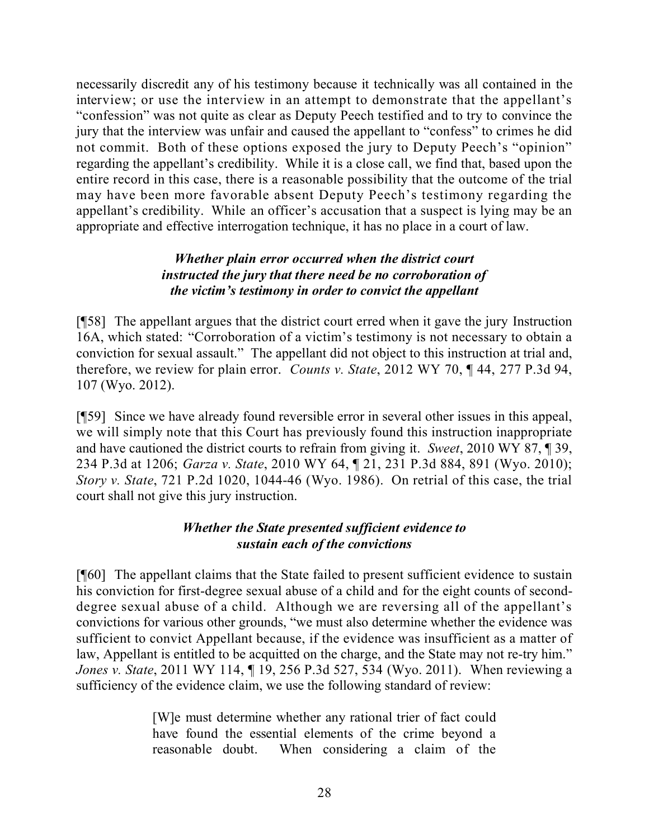necessarily discredit any of his testimony because it technically was all contained in the interview; or use the interview in an attempt to demonstrate that the appellant's "confession" was not quite as clear as Deputy Peech testified and to try to convince the jury that the interview was unfair and caused the appellant to "confess" to crimes he did not commit. Both of these options exposed the jury to Deputy Peech's "opinion" regarding the appellant's credibility. While it is a close call, we find that, based upon the entire record in this case, there is a reasonable possibility that the outcome of the trial may have been more favorable absent Deputy Peech's testimony regarding the appellant's credibility. While an officer's accusation that a suspect is lying may be an appropriate and effective interrogation technique, it has no place in a court of law.

#### *Whether plain error occurred when the district court instructed the jury that there need be no corroboration of the victim's testimony in order to convict the appellant*

[¶58] The appellant argues that the district court erred when it gave the jury Instruction 16A, which stated: "Corroboration of a victim's testimony is not necessary to obtain a conviction for sexual assault." The appellant did not object to this instruction at trial and, therefore, we review for plain error. *Counts v. State*, 2012 WY 70, ¶ 44, 277 P.3d 94, 107 (Wyo. 2012).

[¶59] Since we have already found reversible error in several other issues in this appeal, we will simply note that this Court has previously found this instruction inappropriate and have cautioned the district courts to refrain from giving it. *Sweet*, 2010 WY 87, ¶ 39, 234 P.3d at 1206; *Garza v. State*, 2010 WY 64, ¶ 21, 231 P.3d 884, 891 (Wyo. 2010); *Story v. State*, 721 P.2d 1020, 1044-46 (Wyo. 1986). On retrial of this case, the trial court shall not give this jury instruction.

# *Whether the State presented sufficient evidence to sustain each of the convictions*

[¶60] The appellant claims that the State failed to present sufficient evidence to sustain his conviction for first-degree sexual abuse of a child and for the eight counts of seconddegree sexual abuse of a child. Although we are reversing all of the appellant's convictions for various other grounds, "we must also determine whether the evidence was sufficient to convict Appellant because, if the evidence was insufficient as a matter of law, Appellant is entitled to be acquitted on the charge, and the State may not re-try him." *Jones v. State*, 2011 WY 114, ¶ 19, 256 P.3d 527, 534 (Wyo. 2011). When reviewing a sufficiency of the evidence claim, we use the following standard of review:

> [W]e must determine whether any rational trier of fact could have found the essential elements of the crime beyond a reasonable doubt. When considering a claim of the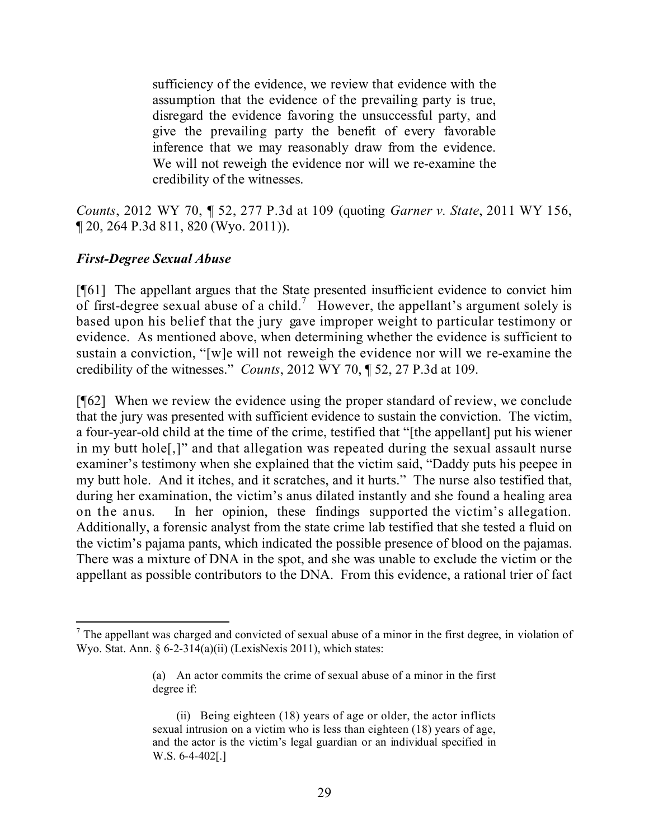sufficiency of the evidence, we review that evidence with the assumption that the evidence of the prevailing party is true, disregard the evidence favoring the unsuccessful party, and give the prevailing party the benefit of every favorable inference that we may reasonably draw from the evidence. We will not reweigh the evidence nor will we re-examine the credibility of the witnesses.

*Counts*, 2012 WY 70, ¶ 52, 277 P.3d at 109 (quoting *Garner v. State*, 2011 WY 156, ¶ 20, 264 P.3d 811, 820 (Wyo. 2011)).

## *First-Degree Sexual Abuse*

[¶61] The appellant argues that the State presented insufficient evidence to convict him of first-degree sexual abuse of a child.<sup>7</sup> However, the appellant's argument solely is based upon his belief that the jury gave improper weight to particular testimony or evidence. As mentioned above, when determining whether the evidence is sufficient to sustain a conviction, "[w]e will not reweigh the evidence nor will we re-examine the credibility of the witnesses." *Counts*, 2012 WY 70, ¶ 52, 27 P.3d at 109.

[¶62] When we review the evidence using the proper standard of review, we conclude that the jury was presented with sufficient evidence to sustain the conviction. The victim, a four-year-old child at the time of the crime, testified that "[the appellant] put his wiener in my butt hole[,]" and that allegation was repeated during the sexual assault nurse examiner's testimony when she explained that the victim said, "Daddy puts his peepee in my butt hole. And it itches, and it scratches, and it hurts." The nurse also testified that, during her examination, the victim's anus dilated instantly and she found a healing area on the anus. In her opinion, these findings supported the victim's allegation. Additionally, a forensic analyst from the state crime lab testified that she tested a fluid on the victim's pajama pants, which indicated the possible presence of blood on the pajamas. There was a mixture of DNA in the spot, and she was unable to exclude the victim or the appellant as possible contributors to the DNA. From this evidence, a rational trier of fact

l  $<sup>7</sup>$  The appellant was charged and convicted of sexual abuse of a minor in the first degree, in violation of</sup> Wyo. Stat. Ann. § 6-2-314(a)(ii) (LexisNexis 2011), which states:

<sup>(</sup>a) An actor commits the crime of sexual abuse of a minor in the first degree if:

<sup>(</sup>ii) Being eighteen (18) years of age or older, the actor inflicts sexual intrusion on a victim who is less than eighteen (18) years of age, and the actor is the victim's legal guardian or an individual specified in W.S. 6-4-402[.]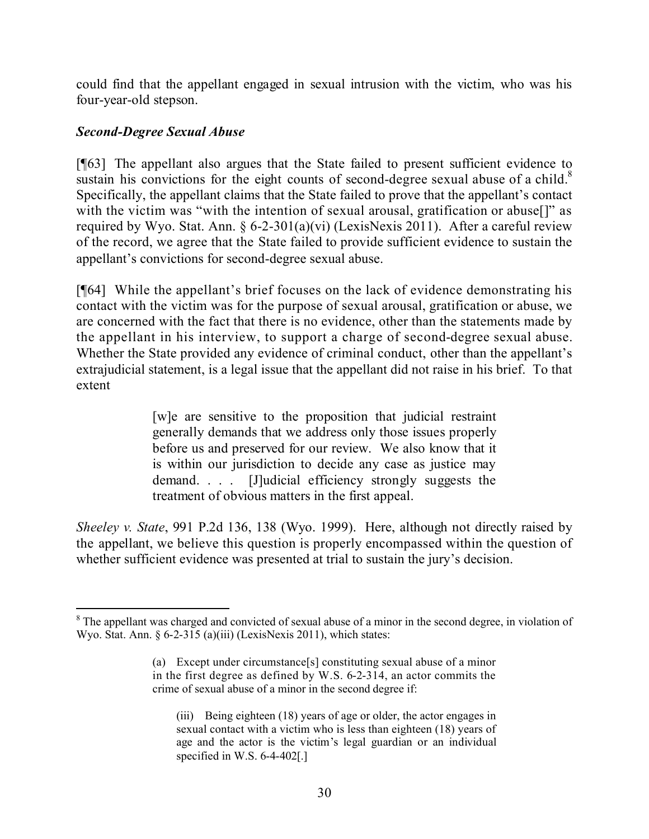could find that the appellant engaged in sexual intrusion with the victim, who was his four-year-old stepson.

# *Second-Degree Sexual Abuse*

[¶63] The appellant also argues that the State failed to present sufficient evidence to sustain his convictions for the eight counts of second-degree sexual abuse of a child.<sup>8</sup> Specifically, the appellant claims that the State failed to prove that the appellant's contact with the victim was "with the intention of sexual arousal, gratification or abuse<sup>[]"</sup> as required by Wyo. Stat. Ann. § 6-2-301(a)(vi) (LexisNexis 2011). After a careful review of the record, we agree that the State failed to provide sufficient evidence to sustain the appellant's convictions for second-degree sexual abuse.

[¶64] While the appellant's brief focuses on the lack of evidence demonstrating his contact with the victim was for the purpose of sexual arousal, gratification or abuse, we are concerned with the fact that there is no evidence, other than the statements made by the appellant in his interview, to support a charge of second-degree sexual abuse. Whether the State provided any evidence of criminal conduct, other than the appellant's extrajudicial statement, is a legal issue that the appellant did not raise in his brief. To that extent

> [w]e are sensitive to the proposition that judicial restraint generally demands that we address only those issues properly before us and preserved for our review. We also know that it is within our jurisdiction to decide any case as justice may demand. . . . [J]udicial efficiency strongly suggests the treatment of obvious matters in the first appeal.

*Sheeley v. State*, 991 P.2d 136, 138 (Wyo. 1999). Here, although not directly raised by the appellant, we believe this question is properly encompassed within the question of whether sufficient evidence was presented at trial to sustain the jury's decision.

l <sup>8</sup> The appellant was charged and convicted of sexual abuse of a minor in the second degree, in violation of Wyo. Stat. Ann. § 6-2-315 (a)(iii) (LexisNexis 2011), which states:

<sup>(</sup>a) Except under circumstance[s] constituting sexual abuse of a minor in the first degree as defined by W.S. 6-2-314, an actor commits the crime of sexual abuse of a minor in the second degree if:

<sup>(</sup>iii) Being eighteen (18) years of age or older, the actor engages in sexual contact with a victim who is less than eighteen (18) years of age and the actor is the victim's legal guardian or an individual specified in W.S. 6-4-402[.]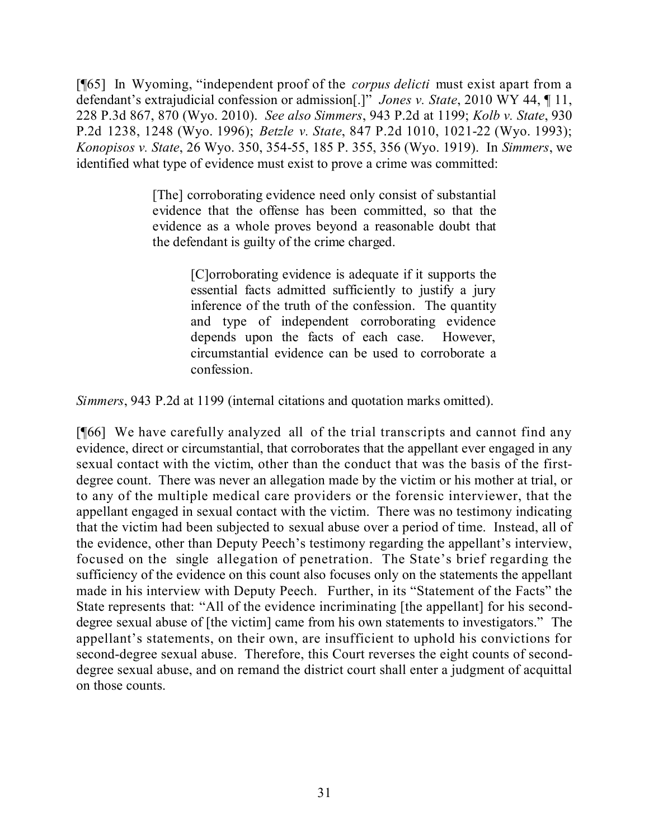[¶65] In Wyoming, "independent proof of the *corpus delicti* must exist apart from a defendant's extrajudicial confession or admission[.]" *Jones v. State*, 2010 WY 44, ¶ 11, 228 P.3d 867, 870 (Wyo. 2010). *See also Simmers*, 943 P.2d at 1199; *Kolb v. State*, 930 P.2d 1238, 1248 (Wyo. 1996); *Betzle v. State*, 847 P.2d 1010, 1021-22 (Wyo. 1993); *Konopisos v. State*, 26 Wyo. 350, 354-55, 185 P. 355, 356 (Wyo. 1919). In *Simmers*, we identified what type of evidence must exist to prove a crime was committed:

> [The] corroborating evidence need only consist of substantial evidence that the offense has been committed, so that the evidence as a whole proves beyond a reasonable doubt that the defendant is guilty of the crime charged.

> > [C]orroborating evidence is adequate if it supports the essential facts admitted sufficiently to justify a jury inference of the truth of the confession. The quantity and type of independent corroborating evidence depends upon the facts of each case. However, circumstantial evidence can be used to corroborate a confession.

*Simmers*, 943 P.2d at 1199 (internal citations and quotation marks omitted).

[¶66] We have carefully analyzed all of the trial transcripts and cannot find any evidence, direct or circumstantial, that corroborates that the appellant ever engaged in any sexual contact with the victim, other than the conduct that was the basis of the firstdegree count. There was never an allegation made by the victim or his mother at trial, or to any of the multiple medical care providers or the forensic interviewer, that the appellant engaged in sexual contact with the victim. There was no testimony indicating that the victim had been subjected to sexual abuse over a period of time. Instead, all of the evidence, other than Deputy Peech's testimony regarding the appellant's interview, focused on the single allegation of penetration. The State's brief regarding the sufficiency of the evidence on this count also focuses only on the statements the appellant made in his interview with Deputy Peech. Further, in its "Statement of the Facts" the State represents that: "All of the evidence incriminating [the appellant] for his seconddegree sexual abuse of [the victim] came from his own statements to investigators." The appellant's statements, on their own, are insufficient to uphold his convictions for second-degree sexual abuse. Therefore, this Court reverses the eight counts of seconddegree sexual abuse, and on remand the district court shall enter a judgment of acquittal on those counts.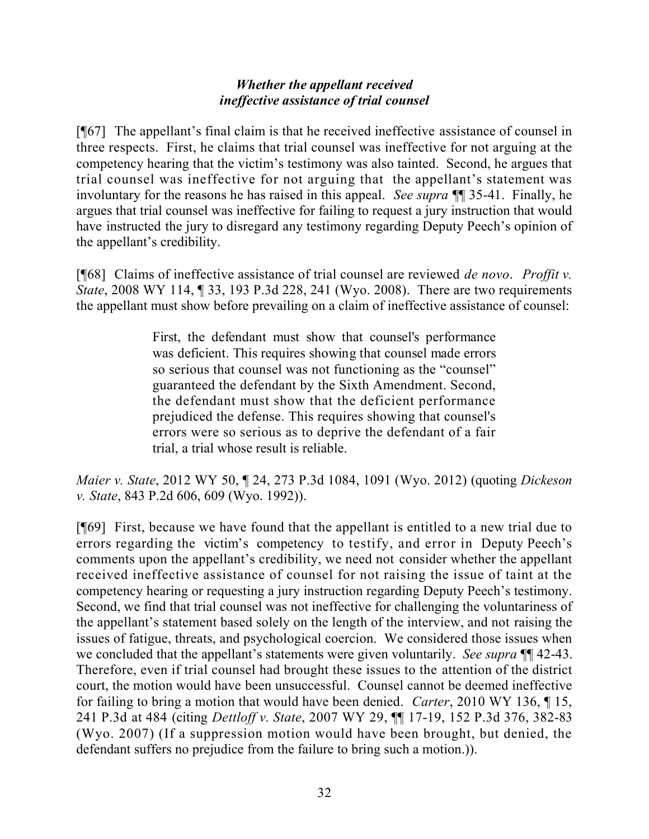## *Whether the appellant received ineffective assistance of trial counsel*

[¶67] The appellant's final claim is that he received ineffective assistance of counsel in three respects. First, he claims that trial counsel was ineffective for not arguing at the competency hearing that the victim's testimony was also tainted. Second, he argues that trial counsel was ineffective for not arguing that the appellant's statement was involuntary for the reasons he has raised in this appeal. *See supra* ¶¶ 35-41. Finally, he argues that trial counsel was ineffective for failing to request a jury instruction that would have instructed the jury to disregard any testimony regarding Deputy Peech's opinion of the appellant's credibility.

[¶68] Claims of ineffective assistance of trial counsel are reviewed *de novo*. *Proffit v. State*, 2008 WY 114, 1 33, 193 P.3d 228, 241 (Wyo. 2008). There are two requirements the appellant must show before prevailing on a claim of ineffective assistance of counsel:

> First, the defendant must show that counsel's performance was deficient. This requires showing that counsel made errors so serious that counsel was not functioning as the "counsel" guaranteed the defendant by the Sixth Amendment. Second, the defendant must show that the deficient performance prejudiced the defense. This requires showing that counsel's errors were so serious as to deprive the defendant of a fair trial, a trial whose result is reliable.

*Maier v. State*, 2012 WY 50, ¶ 24, 273 P.3d 1084, 1091 (Wyo. 2012) (quoting *Dickeson v. State*, 843 P.2d 606, 609 (Wyo. 1992)).

[¶69] First, because we have found that the appellant is entitled to a new trial due to errors regarding the victim's competency to testify, and error in Deputy Peech's comments upon the appellant's credibility, we need not consider whether the appellant received ineffective assistance of counsel for not raising the issue of taint at the competency hearing or requesting a jury instruction regarding Deputy Peech's testimony. Second, we find that trial counsel was not ineffective for challenging the voluntariness of the appellant's statement based solely on the length of the interview, and not raising the issues of fatigue, threats, and psychological coercion. We considered those issues when we concluded that the appellant's statements were given voluntarily. *See supra* ¶¶ 42-43. Therefore, even if trial counsel had brought these issues to the attention of the district court, the motion would have been unsuccessful. Counsel cannot be deemed ineffective for failing to bring a motion that would have been denied. *Carter*, 2010 WY 136, ¶ 15, 241 P.3d at 484 (citing *Dettloff v. State*, 2007 WY 29, ¶¶ 17-19, 152 P.3d 376, 382-83 (Wyo. 2007) (If a suppression motion would have been brought, but denied, the defendant suffers no prejudice from the failure to bring such a motion.)).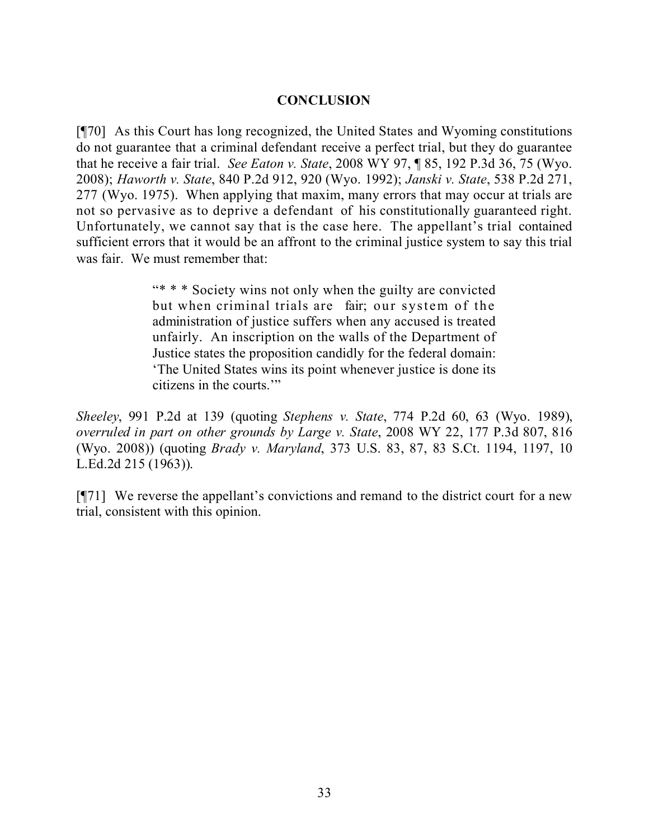#### **CONCLUSION**

[¶70] As this Court has long recognized, the United States and Wyoming constitutions do not guarantee that a criminal defendant receive a perfect trial, but they do guarantee that he receive a fair trial. *See Eaton v. State*, 2008 WY 97, ¶ 85, 192 P.3d 36, 75 (Wyo. 2008); *Haworth v. State*, 840 P.2d 912, 920 (Wyo. 1992); *Janski v. State*, 538 P.2d 271, 277 (Wyo. 1975). When applying that maxim, many errors that may occur at trials are not so pervasive as to deprive a defendant of his constitutionally guaranteed right. Unfortunately, we cannot say that is the case here. The appellant's trial contained sufficient errors that it would be an affront to the criminal justice system to say this trial was fair. We must remember that:

> "\* \* \* Society wins not only when the guilty are convicted but when criminal trials are fair; our system of the administration of justice suffers when any accused is treated unfairly. An inscription on the walls of the Department of Justice states the proposition candidly for the federal domain: 'The United States wins its point whenever justice is done its citizens in the courts.'"

*Sheeley*, 991 P.2d at 139 (quoting *Stephens v. State*, 774 P.2d 60, 63 (Wyo. 1989), *overruled in part on other grounds by Large v. State*, 2008 WY 22, 177 P.3d 807, 816 (Wyo. 2008)) (quoting *Brady v. Maryland*, 373 U.S. 83, 87, 83 S.Ct. 1194, 1197, 10 L.Ed.2d 215 (1963)).

[¶71] We reverse the appellant's convictions and remand to the district court for a new trial, consistent with this opinion.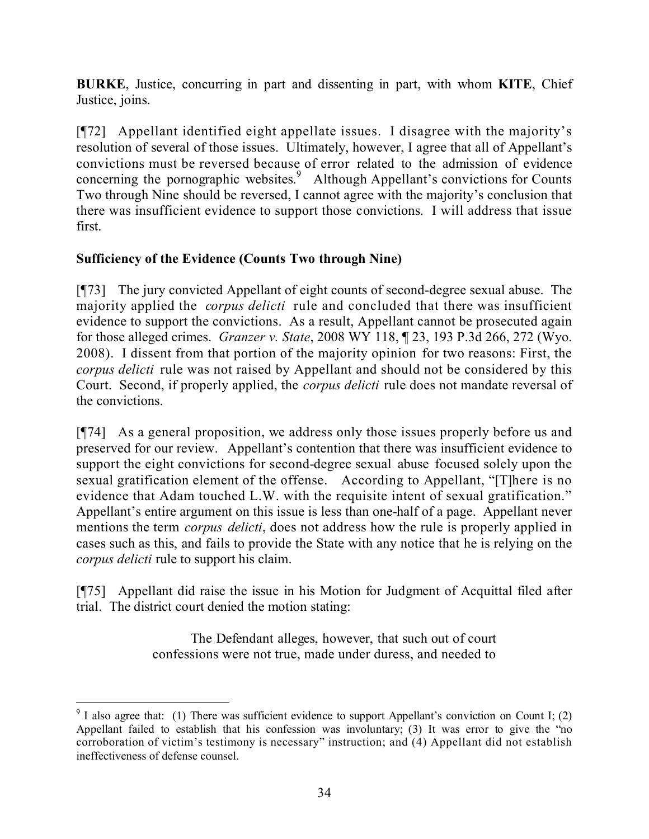**BURKE**, Justice, concurring in part and dissenting in part, with whom **KITE**, Chief Justice, joins.

[¶72] Appellant identified eight appellate issues. I disagree with the majority's resolution of several of those issues. Ultimately, however, I agree that all of Appellant's convictions must be reversed because of error related to the admission of evidence concerning the pornographic websites.<sup>9</sup> Although Appellant's convictions for Counts Two through Nine should be reversed, I cannot agree with the majority's conclusion that there was insufficient evidence to support those convictions. I will address that issue first.

# **Sufficiency of the Evidence (Counts Two through Nine)**

 $\overline{a}$ 

[¶73] The jury convicted Appellant of eight counts of second-degree sexual abuse. The majority applied the *corpus delicti* rule and concluded that there was insufficient evidence to support the convictions. As a result, Appellant cannot be prosecuted again for those alleged crimes. *Granzer v. State*, 2008 WY 118, ¶ 23, 193 P.3d 266, 272 (Wyo. 2008). I dissent from that portion of the majority opinion for two reasons: First, the *corpus delicti* rule was not raised by Appellant and should not be considered by this Court. Second, if properly applied, the *corpus delicti* rule does not mandate reversal of the convictions.

[¶74] As a general proposition, we address only those issues properly before us and preserved for our review. Appellant's contention that there was insufficient evidence to support the eight convictions for second-degree sexual abuse focused solely upon the sexual gratification element of the offense. According to Appellant, "[T]here is no evidence that Adam touched L.W. with the requisite intent of sexual gratification." Appellant's entire argument on this issue is less than one-half of a page. Appellant never mentions the term *corpus delicti*, does not address how the rule is properly applied in cases such as this, and fails to provide the State with any notice that he is relying on the *corpus delicti* rule to support his claim.

[¶75] Appellant did raise the issue in his Motion for Judgment of Acquittal filed after trial. The district court denied the motion stating:

> The Defendant alleges, however, that such out of court confessions were not true, made under duress, and needed to

 $9$  I also agree that: (1) There was sufficient evidence to support Appellant's conviction on Count I; (2) Appellant failed to establish that his confession was involuntary; (3) It was error to give the "no corroboration of victim's testimony is necessary" instruction; and (4) Appellant did not establish ineffectiveness of defense counsel.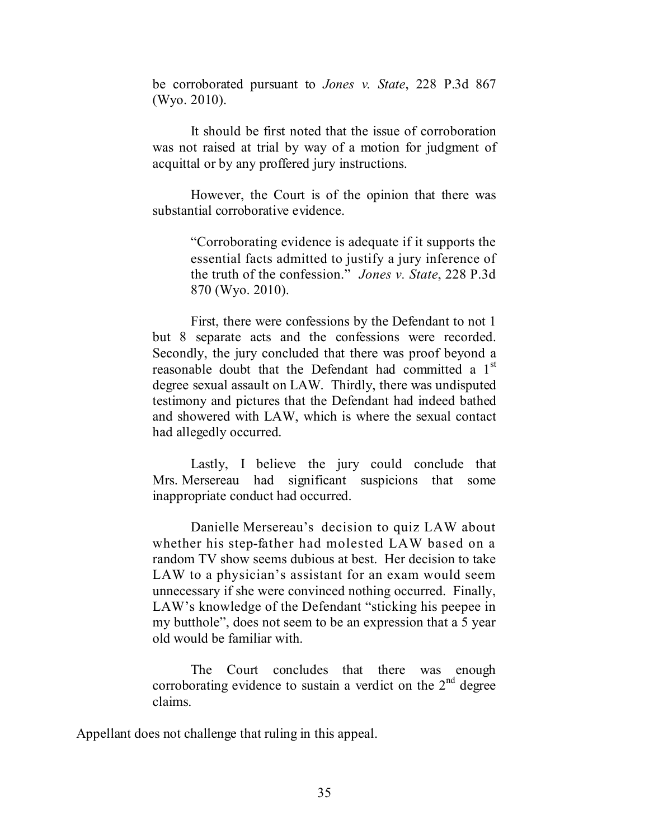be corroborated pursuant to *Jones v. State*, 228 P.3d 867 (Wyo. 2010).

It should be first noted that the issue of corroboration was not raised at trial by way of a motion for judgment of acquittal or by any proffered jury instructions.

However, the Court is of the opinion that there was substantial corroborative evidence.

> "Corroborating evidence is adequate if it supports the essential facts admitted to justify a jury inference of the truth of the confession." *Jones v. State*, 228 P.3d 870 (Wyo. 2010).

First, there were confessions by the Defendant to not 1 but 8 separate acts and the confessions were recorded. Secondly, the jury concluded that there was proof beyond a reasonable doubt that the Defendant had committed a 1<sup>st</sup> degree sexual assault on LAW. Thirdly, there was undisputed testimony and pictures that the Defendant had indeed bathed and showered with LAW, which is where the sexual contact had allegedly occurred.

Lastly, I believe the jury could conclude that Mrs. Mersereau had significant suspicions that some inappropriate conduct had occurred.

Danielle Mersereau's decision to quiz LAW about whether his step-father had molested LAW based on a random TV show seems dubious at best. Her decision to take LAW to a physician's assistant for an exam would seem unnecessary if she were convinced nothing occurred. Finally, LAW's knowledge of the Defendant "sticking his peepee in my butthole", does not seem to be an expression that a 5 year old would be familiar with.

The Court concludes that there was enough corroborating evidence to sustain a verdict on the  $2<sup>nd</sup>$  degree claims.

Appellant does not challenge that ruling in this appeal.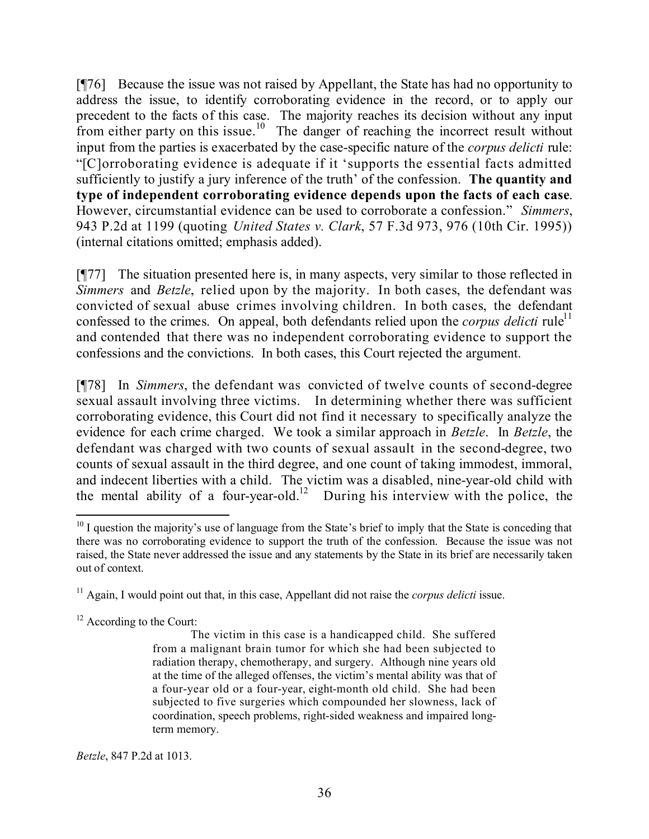[¶76] Because the issue was not raised by Appellant, the State has had no opportunity to address the issue, to identify corroborating evidence in the record, or to apply our precedent to the facts of this case. The majority reaches its decision without any input from either party on this issue.<sup>10</sup> The danger of reaching the incorrect result without input from the parties is exacerbated by the case-specific nature of the *corpus delicti* rule: "[C]orroborating evidence is adequate if it 'supports the essential facts admitted sufficiently to justify a jury inference of the truth' of the confession. **The quantity and type of independent corroborating evidence depends upon the facts of each case**. However, circumstantial evidence can be used to corroborate a confession." *Simmers*, 943 P.2d at 1199 (quoting *United States v. Clark*, 57 F.3d 973, 976 (10th Cir. 1995)) (internal citations omitted; emphasis added).

[¶77] The situation presented here is, in many aspects, very similar to those reflected in *Simmers* and *Betzle*, relied upon by the majority. In both cases, the defendant was convicted of sexual abuse crimes involving children. In both cases, the defendant confessed to the crimes. On appeal, both defendants relied upon the *corpus delicti* rule<sup>11</sup> and contended that there was no independent corroborating evidence to support the confessions and the convictions. In both cases, this Court rejected the argument.

[¶78] In *Simmers*, the defendant was convicted of twelve counts of second-degree sexual assault involving three victims. In determining whether there was sufficient corroborating evidence, this Court did not find it necessary to specifically analyze the evidence for each crime charged. We took a similar approach in *Betzle*. In *Betzle*, the defendant was charged with two counts of sexual assault in the second-degree, two counts of sexual assault in the third degree, and one count of taking immodest, immoral, and indecent liberties with a child. The victim was a disabled, nine-year-old child with the mental ability of a four-year-old.<sup>12</sup> During his interview with the police, the

*Betzle*, 847 P.2d at 1013.

 $\overline{a}$  $10$  I question the majority's use of language from the State's brief to imply that the State is conceding that there was no corroborating evidence to support the truth of the confession. Because the issue was not raised, the State never addressed the issue and any statements by the State in its brief are necessarily taken out of context.

<sup>&</sup>lt;sup>11</sup> Again, I would point out that, in this case, Appellant did not raise the *corpus delicti* issue.

<sup>&</sup>lt;sup>12</sup> According to the Court:

The victim in this case is a handicapped child. She suffered from a malignant brain tumor for which she had been subjected to radiation therapy, chemotherapy, and surgery. Although nine years old at the time of the alleged offenses, the victim's mental ability was that of a four-year old or a four-year, eight-month old child. She had been subjected to five surgeries which compounded her slowness, lack of coordination, speech problems, right-sided weakness and impaired longterm memory.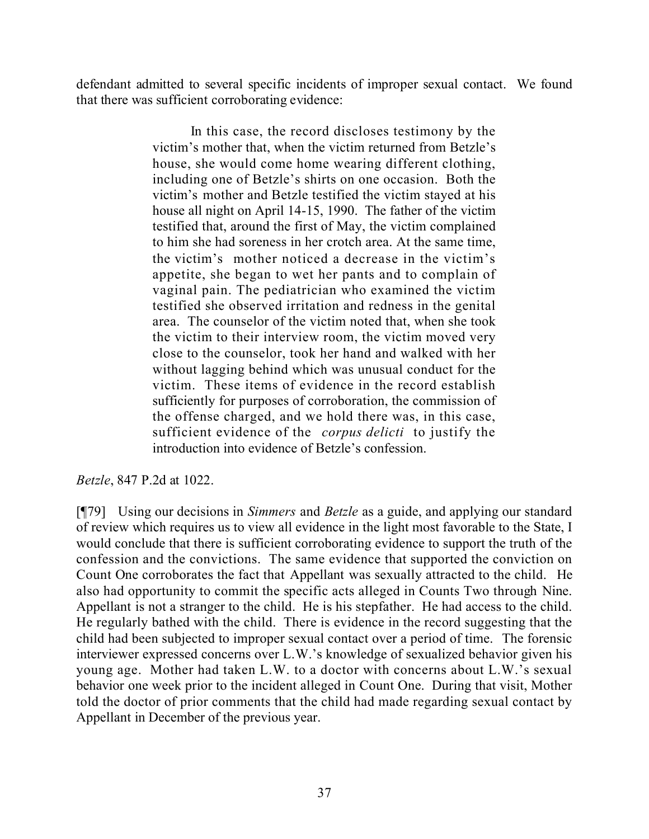defendant admitted to several specific incidents of improper sexual contact. We found that there was sufficient corroborating evidence:

> In this case, the record discloses testimony by the victim's mother that, when the victim returned from Betzle's house, she would come home wearing different clothing, including one of Betzle's shirts on one occasion. Both the victim's mother and Betzle testified the victim stayed at his house all night on April 14-15, 1990. The father of the victim testified that, around the first of May, the victim complained to him she had soreness in her crotch area. At the same time, the victim's mother noticed a decrease in the victim's appetite, she began to wet her pants and to complain of vaginal pain. The pediatrician who examined the victim testified she observed irritation and redness in the genital area. The counselor of the victim noted that, when she took the victim to their interview room, the victim moved very close to the counselor, took her hand and walked with her without lagging behind which was unusual conduct for the victim. These items of evidence in the record establish sufficiently for purposes of corroboration, the commission of the offense charged, and we hold there was, in this case, sufficient evidence of the *corpus delicti* to justify the introduction into evidence of Betzle's confession.

## *Betzle*, 847 P.2d at 1022.

[¶79] Using our decisions in *Simmers* and *Betzle* as a guide, and applying our standard of review which requires us to view all evidence in the light most favorable to the State, I would conclude that there is sufficient corroborating evidence to support the truth of the confession and the convictions. The same evidence that supported the conviction on Count One corroborates the fact that Appellant was sexually attracted to the child. He also had opportunity to commit the specific acts alleged in Counts Two through Nine. Appellant is not a stranger to the child. He is his stepfather. He had access to the child. He regularly bathed with the child. There is evidence in the record suggesting that the child had been subjected to improper sexual contact over a period of time. The forensic interviewer expressed concerns over L.W.'s knowledge of sexualized behavior given his young age. Mother had taken L.W. to a doctor with concerns about L.W.'s sexual behavior one week prior to the incident alleged in Count One. During that visit, Mother told the doctor of prior comments that the child had made regarding sexual contact by Appellant in December of the previous year.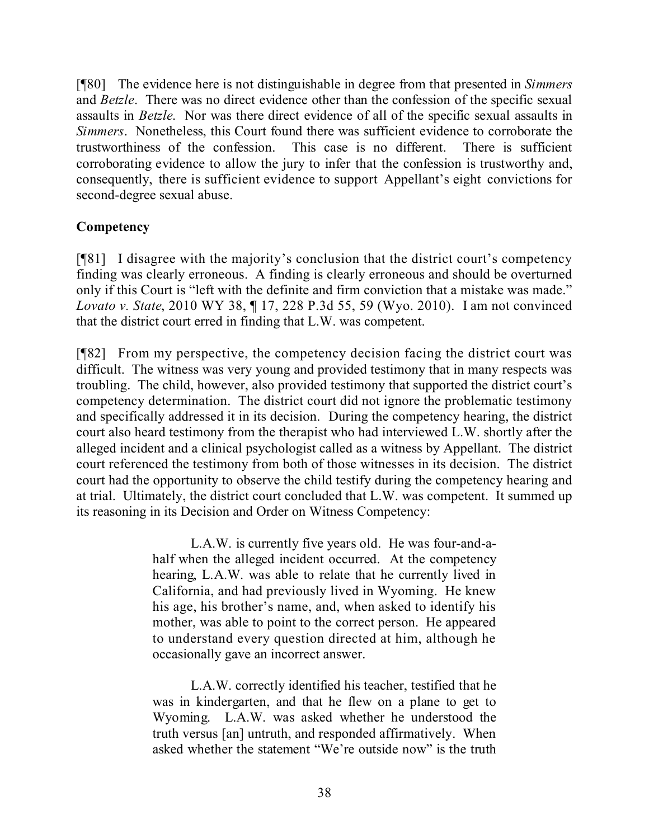[¶80] The evidence here is not distinguishable in degree from that presented in *Simmers* and *Betzle*. There was no direct evidence other than the confession of the specific sexual assaults in *Betzle*. Nor was there direct evidence of all of the specific sexual assaults in *Simmers*. Nonetheless, this Court found there was sufficient evidence to corroborate the trustworthiness of the confession. This case is no different. There is sufficient corroborating evidence to allow the jury to infer that the confession is trustworthy and, consequently, there is sufficient evidence to support Appellant's eight convictions for second-degree sexual abuse.

# **Competency**

[¶81] I disagree with the majority's conclusion that the district court's competency finding was clearly erroneous. A finding is clearly erroneous and should be overturned only if this Court is "left with the definite and firm conviction that a mistake was made." *Lovato v. State*, 2010 WY 38, ¶ 17, 228 P.3d 55, 59 (Wyo. 2010).I am not convinced that the district court erred in finding that L.W. was competent.

[¶82] From my perspective, the competency decision facing the district court was difficult. The witness was very young and provided testimony that in many respects was troubling. The child, however, also provided testimony that supported the district court's competency determination. The district court did not ignore the problematic testimony and specifically addressed it in its decision. During the competency hearing, the district court also heard testimony from the therapist who had interviewed L.W. shortly after the alleged incident and a clinical psychologist called as a witness by Appellant. The district court referenced the testimony from both of those witnesses in its decision. The district court had the opportunity to observe the child testify during the competency hearing and at trial. Ultimately, the district court concluded that L.W. was competent. It summed up its reasoning in its Decision and Order on Witness Competency:

> L.A.W. is currently five years old. He was four-and-ahalf when the alleged incident occurred. At the competency hearing, L.A.W. was able to relate that he currently lived in California, and had previously lived in Wyoming. He knew his age, his brother's name, and, when asked to identify his mother, was able to point to the correct person. He appeared to understand every question directed at him, although he occasionally gave an incorrect answer.

> L.A.W. correctly identified his teacher, testified that he was in kindergarten, and that he flew on a plane to get to Wyoming. L.A.W. was asked whether he understood the truth versus [an] untruth, and responded affirmatively. When asked whether the statement "We're outside now" is the truth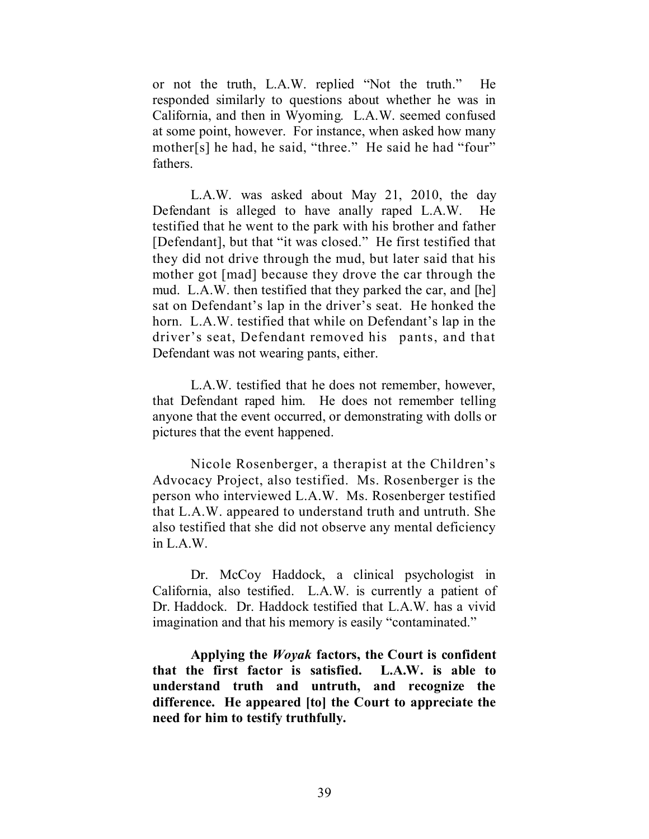or not the truth, L.A.W. replied "Not the truth." He responded similarly to questions about whether he was in California, and then in Wyoming. L.A.W. seemed confused at some point, however. For instance, when asked how many mother[s] he had, he said, "three." He said he had "four" fathers.

L.A.W. was asked about May 21, 2010, the day Defendant is alleged to have anally raped L.A.W. He testified that he went to the park with his brother and father [Defendant], but that "it was closed." He first testified that they did not drive through the mud, but later said that his mother got [mad] because they drove the car through the mud. L.A.W. then testified that they parked the car, and [he] sat on Defendant's lap in the driver's seat. He honked the horn. L.A.W. testified that while on Defendant's lap in the driver's seat, Defendant removed his pants, and that Defendant was not wearing pants, either.

L.A.W. testified that he does not remember, however, that Defendant raped him. He does not remember telling anyone that the event occurred, or demonstrating with dolls or pictures that the event happened.

Nicole Rosenberger, a therapist at the Children's Advocacy Project, also testified. Ms. Rosenberger is the person who interviewed L.A.W. Ms. Rosenberger testified that L.A.W. appeared to understand truth and untruth. She also testified that she did not observe any mental deficiency in L.A.W.

Dr. McCoy Haddock, a clinical psychologist in California, also testified. L.A.W. is currently a patient of Dr. Haddock. Dr. Haddock testified that L.A.W. has a vivid imagination and that his memory is easily "contaminated."

**Applying the** *Woyak* **factors, the Court is confident that the first factor is satisfied. L.A.W. is able to understand truth and untruth, and recognize the difference. He appeared [to] the Court to appreciate the need for him to testify truthfully.**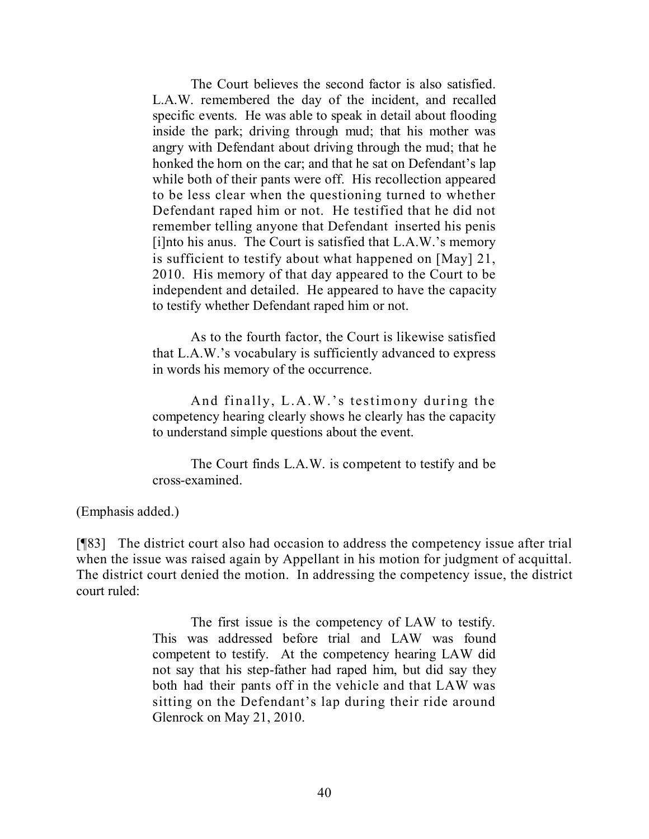The Court believes the second factor is also satisfied. L.A.W. remembered the day of the incident, and recalled specific events. He was able to speak in detail about flooding inside the park; driving through mud; that his mother was angry with Defendant about driving through the mud; that he honked the horn on the car; and that he sat on Defendant's lap while both of their pants were off. His recollection appeared to be less clear when the questioning turned to whether Defendant raped him or not. He testified that he did not remember telling anyone that Defendant inserted his penis [i]nto his anus. The Court is satisfied that L.A.W.'s memory is sufficient to testify about what happened on [May] 21, 2010. His memory of that day appeared to the Court to be independent and detailed. He appeared to have the capacity to testify whether Defendant raped him or not.

As to the fourth factor, the Court is likewise satisfied that L.A.W.'s vocabulary is sufficiently advanced to express in words his memory of the occurrence.

And finally, L.A.W.'s testimony during the competency hearing clearly shows he clearly has the capacity to understand simple questions about the event.

The Court finds L.A.W. is competent to testify and be cross-examined.

(Emphasis added.)

[¶83] The district court also had occasion to address the competency issue after trial when the issue was raised again by Appellant in his motion for judgment of acquittal. The district court denied the motion. In addressing the competency issue, the district court ruled:

> The first issue is the competency of LAW to testify. This was addressed before trial and LAW was found competent to testify. At the competency hearing LAW did not say that his step-father had raped him, but did say they both had their pants off in the vehicle and that LAW was sitting on the Defendant's lap during their ride around Glenrock on May 21, 2010.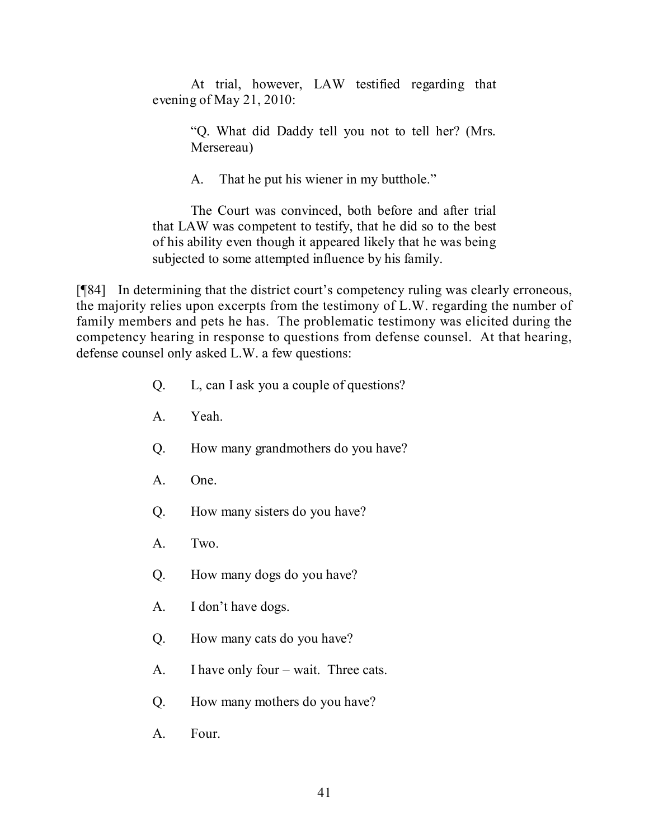At trial, however, LAW testified regarding that evening of May 21, 2010:

> "Q. What did Daddy tell you not to tell her? (Mrs. Mersereau)

A. That he put his wiener in my butthole."

The Court was convinced, both before and after trial that LAW was competent to testify, that he did so to the best of his ability even though it appeared likely that he was being subjected to some attempted influence by his family.

[¶84] In determining that the district court's competency ruling was clearly erroneous, the majority relies upon excerpts from the testimony of L.W. regarding the number of family members and pets he has. The problematic testimony was elicited during the competency hearing in response to questions from defense counsel. At that hearing, defense counsel only asked L.W. a few questions:

- Q. L, can I ask you a couple of questions?
- A. Yeah.
- Q. How many grandmothers do you have?
- A. One.
- Q. How many sisters do you have?
- A. Two.
- Q. How many dogs do you have?
- A. I don't have dogs.
- Q. How many cats do you have?
- A. I have only four wait. Three cats.
- Q. How many mothers do you have?
- A. Four.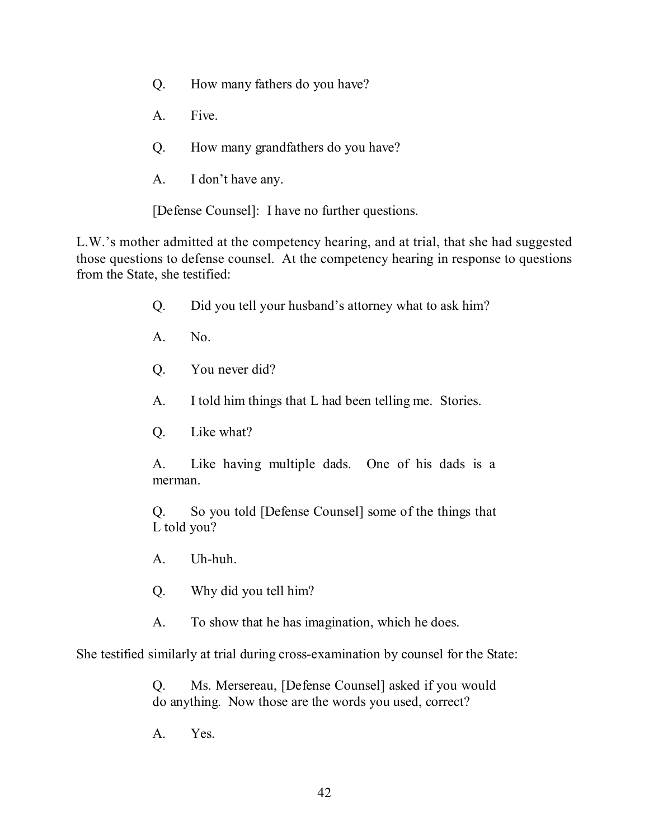- Q. How many fathers do you have?
- A. Five.
- Q. How many grandfathers do you have?
- A. I don't have any.

[Defense Counsel]: I have no further questions.

L.W.'s mother admitted at the competency hearing, and at trial, that she had suggested those questions to defense counsel. At the competency hearing in response to questions from the State, she testified:

- Q. Did you tell your husband's attorney what to ask him?
- A. No.
- Q. You never did?
- A. I told him things that L had been telling me. Stories.
- Q. Like what?

A. Like having multiple dads. One of his dads is a merman.

Q. So you told [Defense Counsel] some of the things that L told you?

A. Uh-huh.

Q. Why did you tell him?

A. To show that he has imagination, which he does.

She testified similarly at trial during cross-examination by counsel for the State:

Q. Ms. Mersereau, [Defense Counsel] asked if you would do anything. Now those are the words you used, correct?

A. Yes.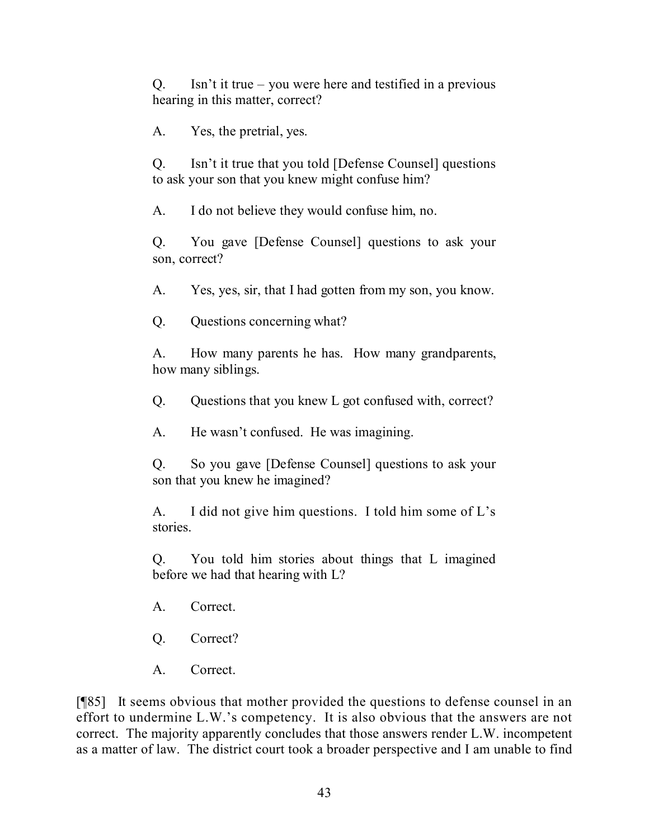Q. Isn't it true – you were here and testified in a previous hearing in this matter, correct?

A. Yes, the pretrial, yes.

Q. Isn't it true that you told [Defense Counsel] questions to ask your son that you knew might confuse him?

A. I do not believe they would confuse him, no.

Q. You gave [Defense Counsel] questions to ask your son, correct?

A. Yes, yes, sir, that I had gotten from my son, you know.

Q. Questions concerning what?

A. How many parents he has. How many grandparents, how many siblings.

Q. Questions that you knew L got confused with, correct?

A. He wasn't confused. He was imagining.

Q. So you gave [Defense Counsel] questions to ask your son that you knew he imagined?

A. I did not give him questions. I told him some of L's stories.

Q. You told him stories about things that L imagined before we had that hearing with L?

- A. Correct.
- Q. Correct?
- A. Correct.

[¶85] It seems obvious that mother provided the questions to defense counsel in an effort to undermine L.W.'s competency. It is also obvious that the answers are not correct. The majority apparently concludes that those answers render L.W. incompetent as a matter of law. The district court took a broader perspective and I am unable to find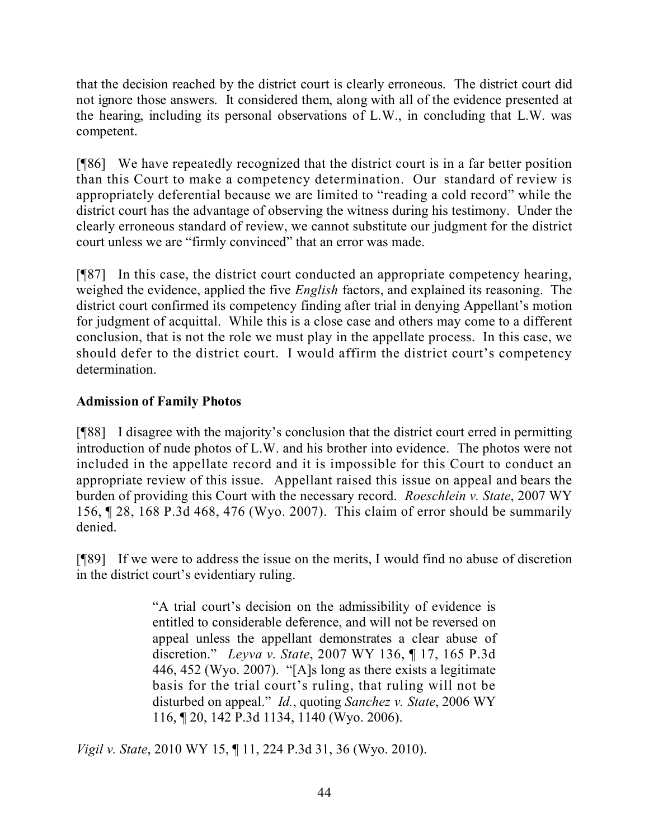that the decision reached by the district court is clearly erroneous. The district court did not ignore those answers. It considered them, along with all of the evidence presented at the hearing, including its personal observations of L.W., in concluding that L.W. was competent.

[¶86] We have repeatedly recognized that the district court is in a far better position than this Court to make a competency determination. Our standard of review is appropriately deferential because we are limited to "reading a cold record" while the district court has the advantage of observing the witness during his testimony. Under the clearly erroneous standard of review, we cannot substitute our judgment for the district court unless we are "firmly convinced" that an error was made.

[¶87] In this case, the district court conducted an appropriate competency hearing, weighed the evidence, applied the five *English* factors, and explained its reasoning. The district court confirmed its competency finding after trial in denying Appellant's motion for judgment of acquittal. While this is a close case and others may come to a different conclusion, that is not the role we must play in the appellate process. In this case, we should defer to the district court. I would affirm the district court's competency determination.

# **Admission of Family Photos**

[¶88] I disagree with the majority's conclusion that the district court erred in permitting introduction of nude photos of L.W. and his brother into evidence. The photos were not included in the appellate record and it is impossible for this Court to conduct an appropriate review of this issue. Appellant raised this issue on appeal and bears the burden of providing this Court with the necessary record. *Roeschlein v. State*, 2007 WY 156, ¶ 28, 168 P.3d 468, 476 (Wyo. 2007). This claim of error should be summarily denied.

[¶89] If we were to address the issue on the merits, I would find no abuse of discretion in the district court's evidentiary ruling.

> "A trial court's decision on the admissibility of evidence is entitled to considerable deference, and will not be reversed on appeal unless the appellant demonstrates a clear abuse of discretion." *Leyva v. State*, 2007 WY 136, ¶ 17, 165 P.3d 446, 452 (Wyo. 2007). "[A]s long as there exists a legitimate basis for the trial court's ruling, that ruling will not be disturbed on appeal." *Id.*, quoting *Sanchez v. State*, 2006 WY 116, ¶ 20, 142 P.3d 1134, 1140 (Wyo. 2006).

*Vigil v. State*, 2010 WY 15, ¶ 11, 224 P.3d 31, 36 (Wyo. 2010).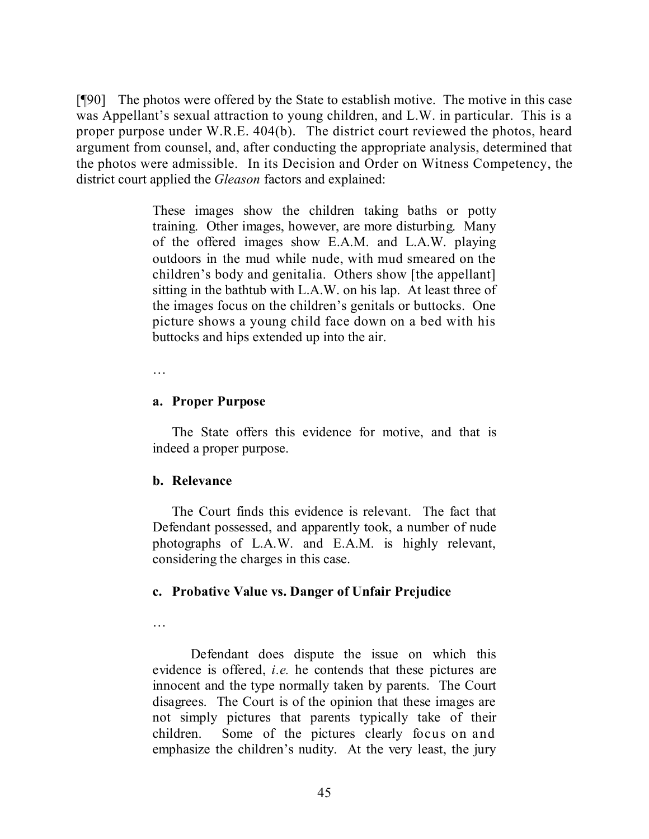[¶90] The photos were offered by the State to establish motive. The motive in this case was Appellant's sexual attraction to young children, and L.W. in particular. This is a proper purpose under W.R.E. 404(b). The district court reviewed the photos, heard argument from counsel, and, after conducting the appropriate analysis, determined that the photos were admissible. In its Decision and Order on Witness Competency, the district court applied the *Gleason* factors and explained:

> These images show the children taking baths or potty training. Other images, however, are more disturbing. Many of the offered images show E.A.M. and L.A.W. playing outdoors in the mud while nude, with mud smeared on the children's body and genitalia. Others show [the appellant] sitting in the bathtub with L.A.W. on his lap. At least three of the images focus on the children's genitals or buttocks. One picture shows a young child face down on a bed with his buttocks and hips extended up into the air.

…

#### **a. Proper Purpose**

The State offers this evidence for motive, and that is indeed a proper purpose.

## **b. Relevance**

The Court finds this evidence is relevant. The fact that Defendant possessed, and apparently took, a number of nude photographs of L.A.W. and E.A.M. is highly relevant, considering the charges in this case.

## **c. Probative Value vs. Danger of Unfair Prejudice**

Defendant does dispute the issue on which this evidence is offered, *i.e.* he contends that these pictures are innocent and the type normally taken by parents. The Court disagrees. The Court is of the opinion that these images are not simply pictures that parents typically take of their children. Some of the pictures clearly focus on and emphasize the children's nudity. At the very least, the jury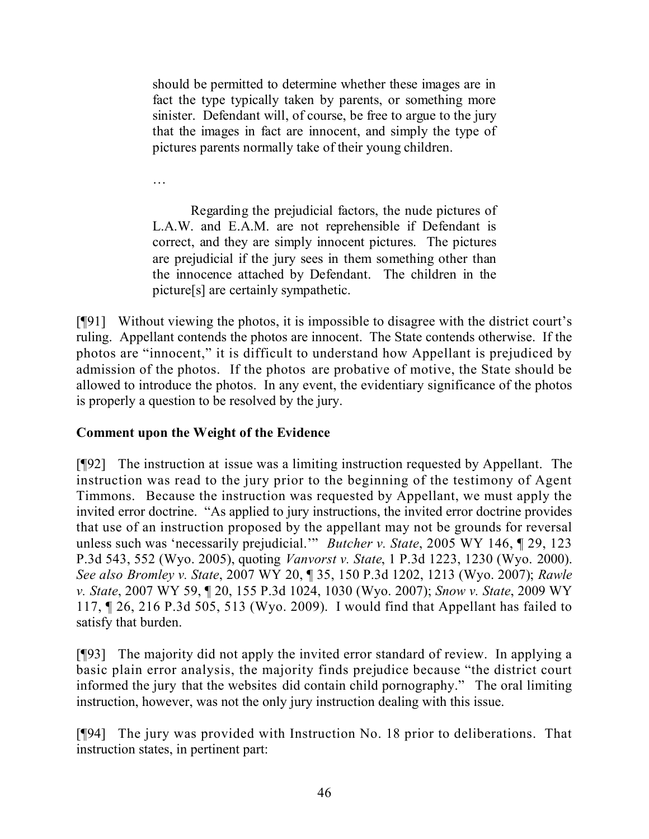should be permitted to determine whether these images are in fact the type typically taken by parents, or something more sinister. Defendant will, of course, be free to argue to the jury that the images in fact are innocent, and simply the type of pictures parents normally take of their young children.

…

Regarding the prejudicial factors, the nude pictures of L.A.W. and E.A.M. are not reprehensible if Defendant is correct, and they are simply innocent pictures. The pictures are prejudicial if the jury sees in them something other than the innocence attached by Defendant. The children in the picture[s] are certainly sympathetic.

[¶91] Without viewing the photos, it is impossible to disagree with the district court's ruling. Appellant contends the photos are innocent. The State contends otherwise. If the photos are "innocent," it is difficult to understand how Appellant is prejudiced by admission of the photos. If the photos are probative of motive, the State should be allowed to introduce the photos. In any event, the evidentiary significance of the photos is properly a question to be resolved by the jury.

# **Comment upon the Weight of the Evidence**

[¶92] The instruction at issue was a limiting instruction requested by Appellant. The instruction was read to the jury prior to the beginning of the testimony of Agent Timmons. Because the instruction was requested by Appellant, we must apply the invited error doctrine. "As applied to jury instructions, the invited error doctrine provides that use of an instruction proposed by the appellant may not be grounds for reversal unless such was 'necessarily prejudicial.'" *Butcher v. State*, 2005 WY 146, ¶ 29, 123 P.3d 543, 552 (Wyo. 2005), quoting *Vanvorst v. State*, 1 P.3d 1223, 1230 (Wyo. 2000). *See also Bromley v. State*, 2007 WY 20, ¶ 35, 150 P.3d 1202, 1213 (Wyo. 2007); *Rawle v. State*, 2007 WY 59, ¶ 20, 155 P.3d 1024, 1030 (Wyo. 2007); *Snow v. State*, 2009 WY 117, ¶ 26, 216 P.3d 505, 513 (Wyo. 2009). I would find that Appellant has failed to satisfy that burden.

[¶93] The majority did not apply the invited error standard of review. In applying a basic plain error analysis, the majority finds prejudice because "the district court informed the jury that the websites did contain child pornography." The oral limiting instruction, however, was not the only jury instruction dealing with this issue.

[¶94] The jury was provided with Instruction No. 18 prior to deliberations. That instruction states, in pertinent part: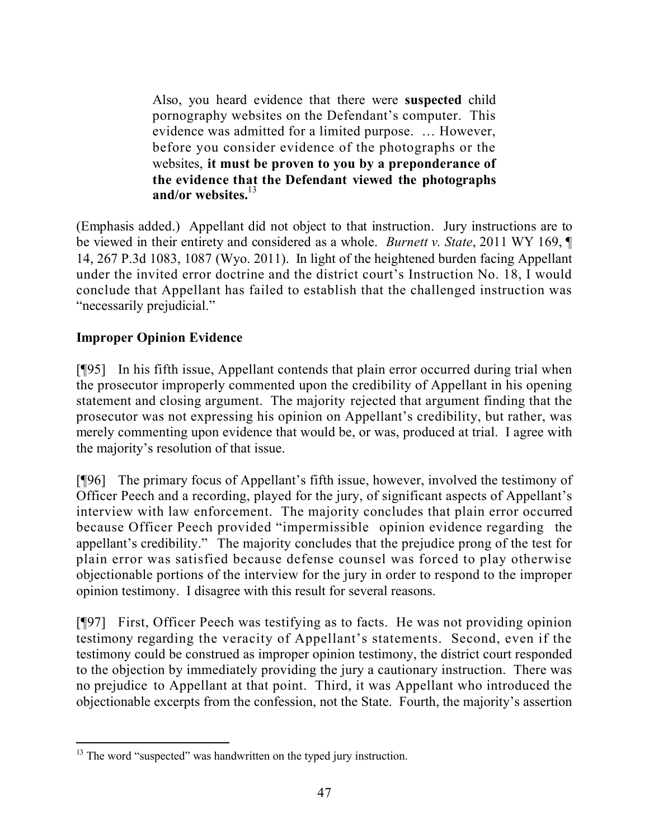Also, you heard evidence that there were **suspected** child pornography websites on the Defendant's computer. This evidence was admitted for a limited purpose. … However, before you consider evidence of the photographs or the websites, **it must be proven to you by a preponderance of the evidence that the Defendant viewed the photographs and/or websites.**<sup>13</sup>

(Emphasis added.) Appellant did not object to that instruction. Jury instructions are to be viewed in their entirety and considered as a whole. *Burnett v. State*, 2011 WY 169, ¶ 14, 267 P.3d 1083, 1087 (Wyo. 2011). In light of the heightened burden facing Appellant under the invited error doctrine and the district court's Instruction No. 18, I would conclude that Appellant has failed to establish that the challenged instruction was "necessarily prejudicial."

# **Improper Opinion Evidence**

[¶95] In his fifth issue, Appellant contends that plain error occurred during trial when the prosecutor improperly commented upon the credibility of Appellant in his opening statement and closing argument. The majority rejected that argument finding that the prosecutor was not expressing his opinion on Appellant's credibility, but rather, was merely commenting upon evidence that would be, or was, produced at trial. I agree with the majority's resolution of that issue.

[¶96] The primary focus of Appellant's fifth issue, however, involved the testimony of Officer Peech and a recording, played for the jury, of significant aspects of Appellant's interview with law enforcement. The majority concludes that plain error occurred because Officer Peech provided "impermissible opinion evidence regarding the appellant's credibility." The majority concludes that the prejudice prong of the test for plain error was satisfied because defense counsel was forced to play otherwise objectionable portions of the interview for the jury in order to respond to the improper opinion testimony. I disagree with this result for several reasons.

[¶97] First, Officer Peech was testifying as to facts. He was not providing opinion testimony regarding the veracity of Appellant's statements. Second, even if the testimony could be construed as improper opinion testimony, the district court responded to the objection by immediately providing the jury a cautionary instruction. There was no prejudice to Appellant at that point. Third, it was Appellant who introduced the objectionable excerpts from the confession, not the State. Fourth, the majority's assertion

l  $13$  The word "suspected" was handwritten on the typed jury instruction.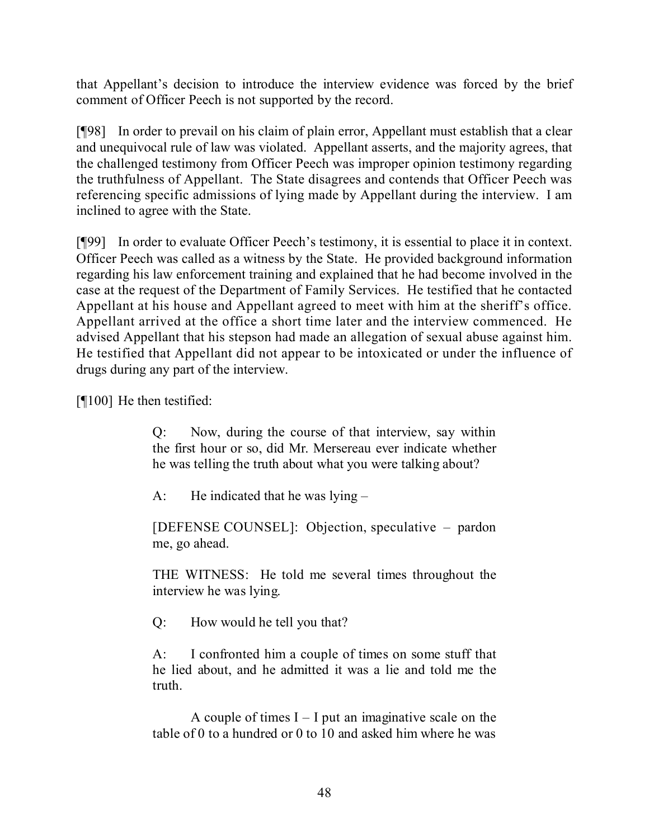that Appellant's decision to introduce the interview evidence was forced by the brief comment of Officer Peech is not supported by the record.

[¶98] In order to prevail on his claim of plain error, Appellant must establish that a clear and unequivocal rule of law was violated. Appellant asserts, and the majority agrees, that the challenged testimony from Officer Peech was improper opinion testimony regarding the truthfulness of Appellant. The State disagrees and contends that Officer Peech was referencing specific admissions of lying made by Appellant during the interview. I am inclined to agree with the State.

[¶99] In order to evaluate Officer Peech's testimony, it is essential to place it in context. Officer Peech was called as a witness by the State. He provided background information regarding his law enforcement training and explained that he had become involved in the case at the request of the Department of Family Services. He testified that he contacted Appellant at his house and Appellant agreed to meet with him at the sheriff's office. Appellant arrived at the office a short time later and the interview commenced. He advised Appellant that his stepson had made an allegation of sexual abuse against him. He testified that Appellant did not appear to be intoxicated or under the influence of drugs during any part of the interview.

[¶100] He then testified:

Q: Now, during the course of that interview, say within the first hour or so, did Mr. Mersereau ever indicate whether he was telling the truth about what you were talking about?

A: He indicated that he was lying –

[DEFENSE COUNSEL]: Objection, speculative – pardon me, go ahead.

THE WITNESS: He told me several times throughout the interview he was lying.

Q: How would he tell you that?

A: I confronted him a couple of times on some stuff that he lied about, and he admitted it was a lie and told me the truth.

A couple of times  $I - I$  put an imaginative scale on the table of 0 to a hundred or 0 to 10 and asked him where he was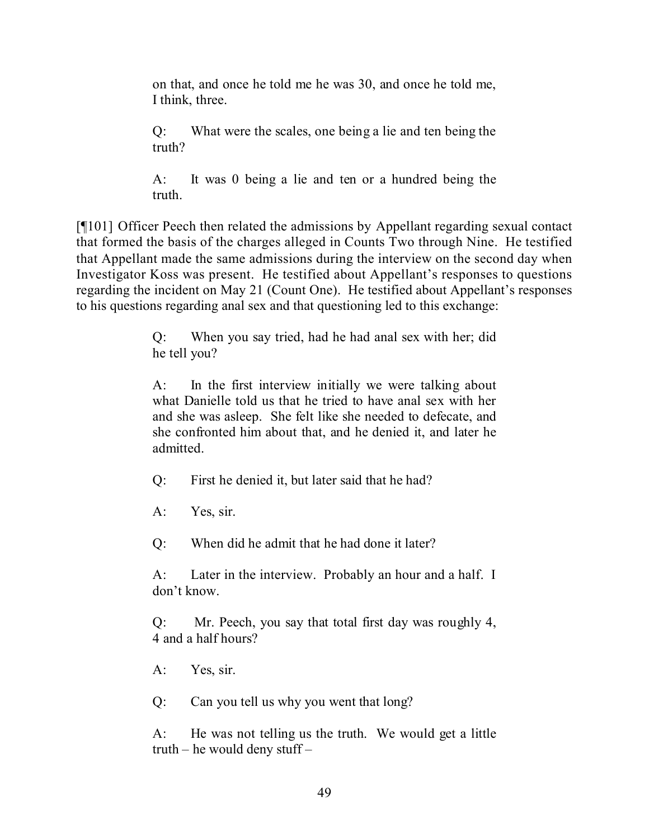on that, and once he told me he was 30, and once he told me, I think, three.

Q: What were the scales, one being a lie and ten being the truth?

A: It was 0 being a lie and ten or a hundred being the truth.

[¶101] Officer Peech then related the admissions by Appellant regarding sexual contact that formed the basis of the charges alleged in Counts Two through Nine. He testified that Appellant made the same admissions during the interview on the second day when Investigator Koss was present. He testified about Appellant's responses to questions regarding the incident on May 21 (Count One). He testified about Appellant's responses to his questions regarding anal sex and that questioning led to this exchange:

> Q: When you say tried, had he had anal sex with her; did he tell you?

> A: In the first interview initially we were talking about what Danielle told us that he tried to have anal sex with her and she was asleep. She felt like she needed to defecate, and she confronted him about that, and he denied it, and later he admitted.

Q: First he denied it, but later said that he had?

A: Yes, sir.

Q: When did he admit that he had done it later?

A: Later in the interview. Probably an hour and a half. I don't know.

Q: Mr. Peech, you say that total first day was roughly 4, 4 and a half hours?

A: Yes, sir.

Q: Can you tell us why you went that long?

A: He was not telling us the truth. We would get a little truth – he would deny stuff –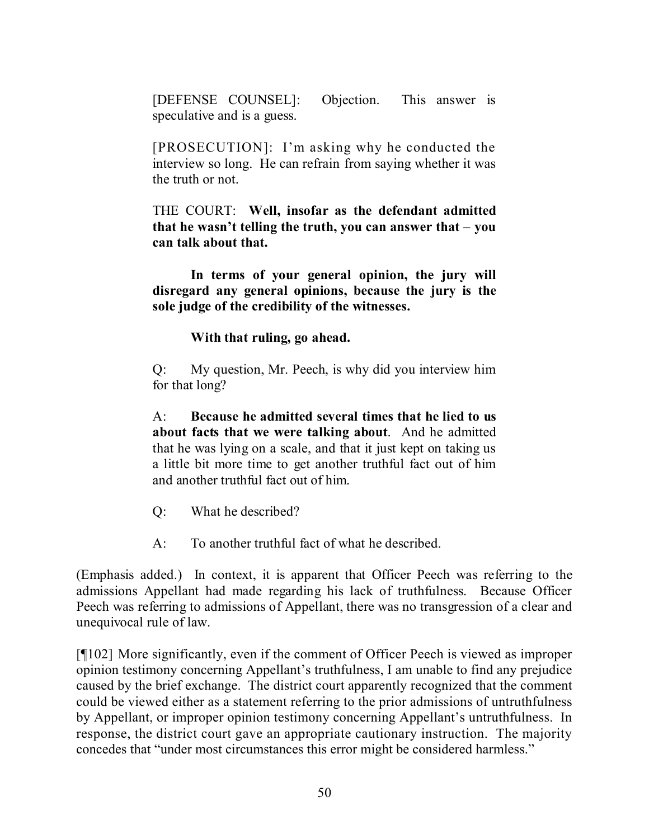[DEFENSE COUNSEL]: Objection. This answer is speculative and is a guess.

[PROSECUTION]: I'm asking why he conducted the interview so long. He can refrain from saying whether it was the truth or not.

THE COURT: **Well, insofar as the defendant admitted that he wasn't telling the truth, you can answer that – you can talk about that.**

**In terms of your general opinion, the jury will disregard any general opinions, because the jury is the sole judge of the credibility of the witnesses.**

**With that ruling, go ahead.**

Q: My question, Mr. Peech, is why did you interview him for that long?

A: **Because he admitted several times that he lied to us about facts that we were talking about**. And he admitted that he was lying on a scale, and that it just kept on taking us a little bit more time to get another truthful fact out of him and another truthful fact out of him.

- Q: What he described?
- A: To another truthful fact of what he described.

(Emphasis added.) In context, it is apparent that Officer Peech was referring to the admissions Appellant had made regarding his lack of truthfulness. Because Officer Peech was referring to admissions of Appellant, there was no transgression of a clear and unequivocal rule of law.

[¶102] More significantly, even if the comment of Officer Peech is viewed as improper opinion testimony concerning Appellant's truthfulness, I am unable to find any prejudice caused by the brief exchange. The district court apparently recognized that the comment could be viewed either as a statement referring to the prior admissions of untruthfulness by Appellant, or improper opinion testimony concerning Appellant's untruthfulness. In response, the district court gave an appropriate cautionary instruction. The majority concedes that "under most circumstances this error might be considered harmless."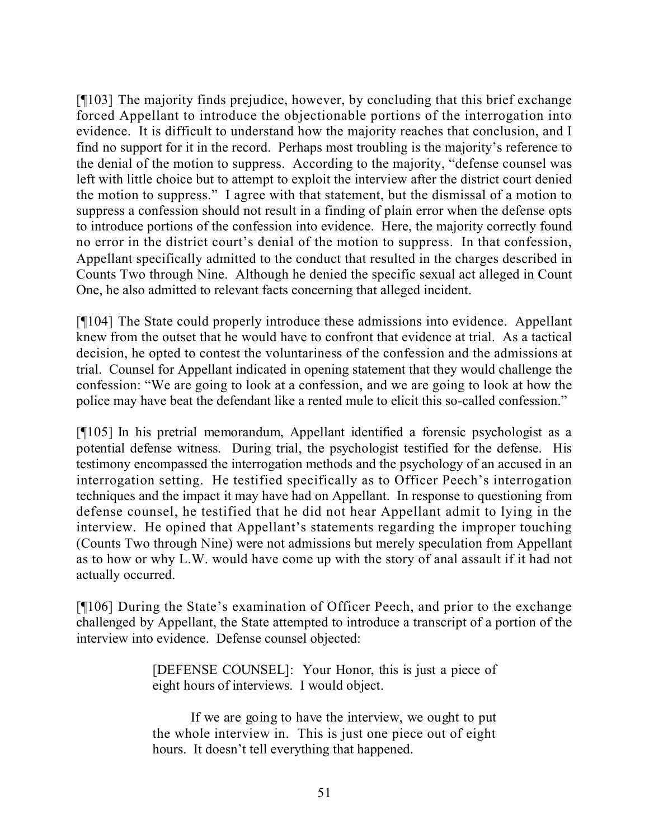[¶103] The majority finds prejudice, however, by concluding that this brief exchange forced Appellant to introduce the objectionable portions of the interrogation into evidence. It is difficult to understand how the majority reaches that conclusion, and I find no support for it in the record. Perhaps most troubling is the majority's reference to the denial of the motion to suppress. According to the majority, "defense counsel was left with little choice but to attempt to exploit the interview after the district court denied the motion to suppress." I agree with that statement, but the dismissal of a motion to suppress a confession should not result in a finding of plain error when the defense opts to introduce portions of the confession into evidence. Here, the majority correctly found no error in the district court's denial of the motion to suppress. In that confession, Appellant specifically admitted to the conduct that resulted in the charges described in Counts Two through Nine. Although he denied the specific sexual act alleged in Count One, he also admitted to relevant facts concerning that alleged incident.

[¶104] The State could properly introduce these admissions into evidence. Appellant knew from the outset that he would have to confront that evidence at trial. As a tactical decision, he opted to contest the voluntariness of the confession and the admissions at trial. Counsel for Appellant indicated in opening statement that they would challenge the confession: "We are going to look at a confession, and we are going to look at how the police may have beat the defendant like a rented mule to elicit this so-called confession."

[¶105] In his pretrial memorandum, Appellant identified a forensic psychologist as a potential defense witness. During trial, the psychologist testified for the defense. His testimony encompassed the interrogation methods and the psychology of an accused in an interrogation setting. He testified specifically as to Officer Peech's interrogation techniques and the impact it may have had on Appellant. In response to questioning from defense counsel, he testified that he did not hear Appellant admit to lying in the interview. He opined that Appellant's statements regarding the improper touching (Counts Two through Nine) were not admissions but merely speculation from Appellant as to how or why L.W. would have come up with the story of anal assault if it had not actually occurred.

[¶106] During the State's examination of Officer Peech, and prior to the exchange challenged by Appellant, the State attempted to introduce a transcript of a portion of the interview into evidence. Defense counsel objected:

> [DEFENSE COUNSEL]: Your Honor, this is just a piece of eight hours of interviews. I would object.

> If we are going to have the interview, we ought to put the whole interview in. This is just one piece out of eight hours. It doesn't tell everything that happened.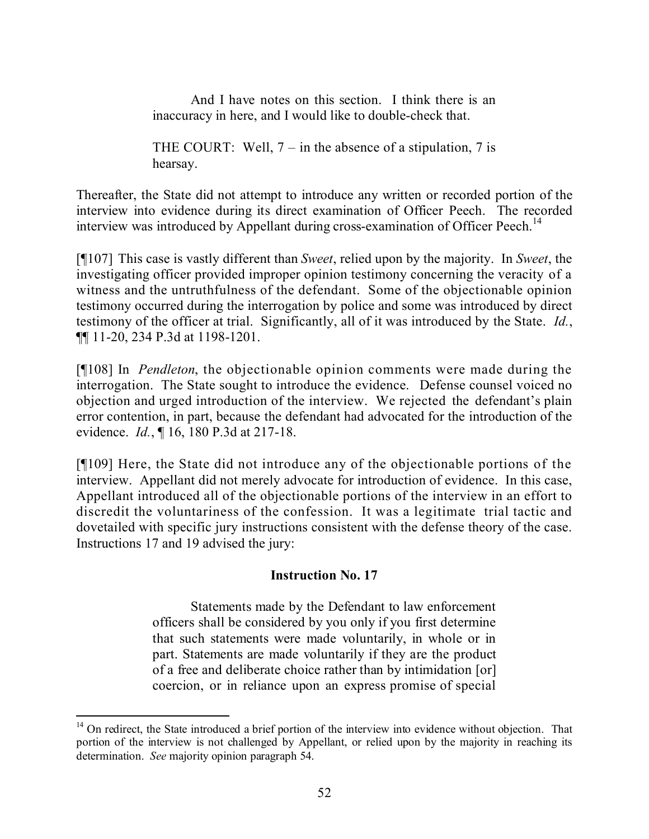And I have notes on this section. I think there is an inaccuracy in here, and I would like to double-check that.

THE COURT: Well,  $7 - in$  the absence of a stipulation, 7 is hearsay.

Thereafter, the State did not attempt to introduce any written or recorded portion of the interview into evidence during its direct examination of Officer Peech. The recorded interview was introduced by Appellant during cross-examination of Officer Peech.<sup>14</sup>

[¶107] This case is vastly different than *Sweet*, relied upon by the majority. In *Sweet*, the investigating officer provided improper opinion testimony concerning the veracity of a witness and the untruthfulness of the defendant. Some of the objectionable opinion testimony occurred during the interrogation by police and some was introduced by direct testimony of the officer at trial. Significantly, all of it was introduced by the State. *Id.*, ¶¶ 11-20, 234 P.3d at 1198-1201.

[¶108] In *Pendleton*, the objectionable opinion comments were made during the interrogation. The State sought to introduce the evidence. Defense counsel voiced no objection and urged introduction of the interview. We rejected the defendant's plain error contention, in part, because the defendant had advocated for the introduction of the evidence. *Id.*, ¶ 16, 180 P.3d at 217-18.

[¶109] Here, the State did not introduce any of the objectionable portions of the interview. Appellant did not merely advocate for introduction of evidence. In this case, Appellant introduced all of the objectionable portions of the interview in an effort to discredit the voluntariness of the confession. It was a legitimate trial tactic and dovetailed with specific jury instructions consistent with the defense theory of the case. Instructions 17 and 19 advised the jury:

## **Instruction No. 17**

Statements made by the Defendant to law enforcement officers shall be considered by you only if you first determine that such statements were made voluntarily, in whole or in part. Statements are made voluntarily if they are the product of a free and deliberate choice rather than by intimidation [or] coercion, or in reliance upon an express promise of special

l <sup>14</sup> On redirect, the State introduced a brief portion of the interview into evidence without objection. That portion of the interview is not challenged by Appellant, or relied upon by the majority in reaching its determination. *See* majority opinion paragraph 54.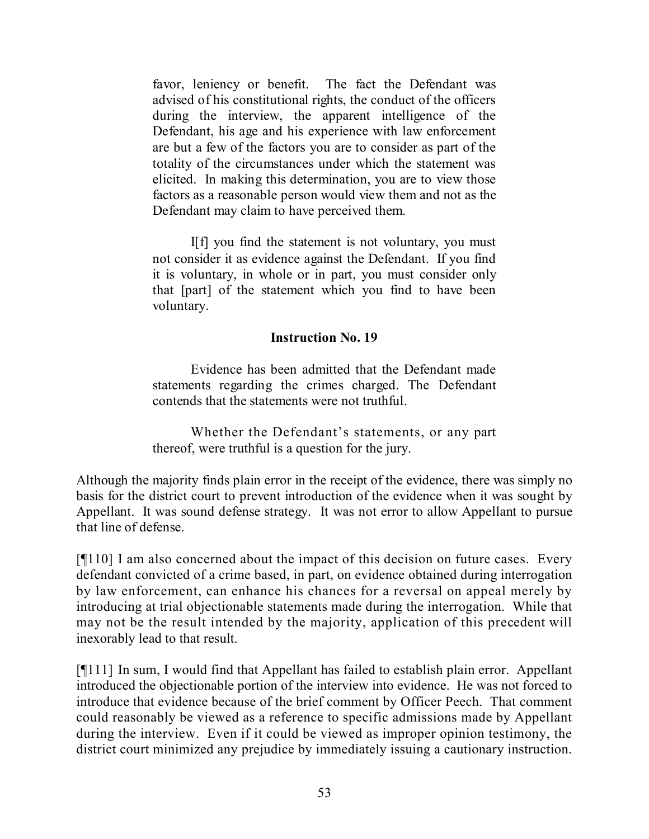favor, leniency or benefit. The fact the Defendant was advised of his constitutional rights, the conduct of the officers during the interview, the apparent intelligence of the Defendant, his age and his experience with law enforcement are but a few of the factors you are to consider as part of the totality of the circumstances under which the statement was elicited. In making this determination, you are to view those factors as a reasonable person would view them and not as the Defendant may claim to have perceived them.

I[f] you find the statement is not voluntary, you must not consider it as evidence against the Defendant. If you find it is voluntary, in whole or in part, you must consider only that [part] of the statement which you find to have been voluntary.

#### **Instruction No. 19**

Evidence has been admitted that the Defendant made statements regarding the crimes charged. The Defendant contends that the statements were not truthful.

Whether the Defendant's statements, or any part thereof, were truthful is a question for the jury.

Although the majority finds plain error in the receipt of the evidence, there was simply no basis for the district court to prevent introduction of the evidence when it was sought by Appellant. It was sound defense strategy. It was not error to allow Appellant to pursue that line of defense.

[¶110] I am also concerned about the impact of this decision on future cases. Every defendant convicted of a crime based, in part, on evidence obtained during interrogation by law enforcement, can enhance his chances for a reversal on appeal merely by introducing at trial objectionable statements made during the interrogation. While that may not be the result intended by the majority, application of this precedent will inexorably lead to that result.

[¶111] In sum, I would find that Appellant has failed to establish plain error. Appellant introduced the objectionable portion of the interview into evidence. He was not forced to introduce that evidence because of the brief comment by Officer Peech. That comment could reasonably be viewed as a reference to specific admissions made by Appellant during the interview. Even if it could be viewed as improper opinion testimony, the district court minimized any prejudice by immediately issuing a cautionary instruction.